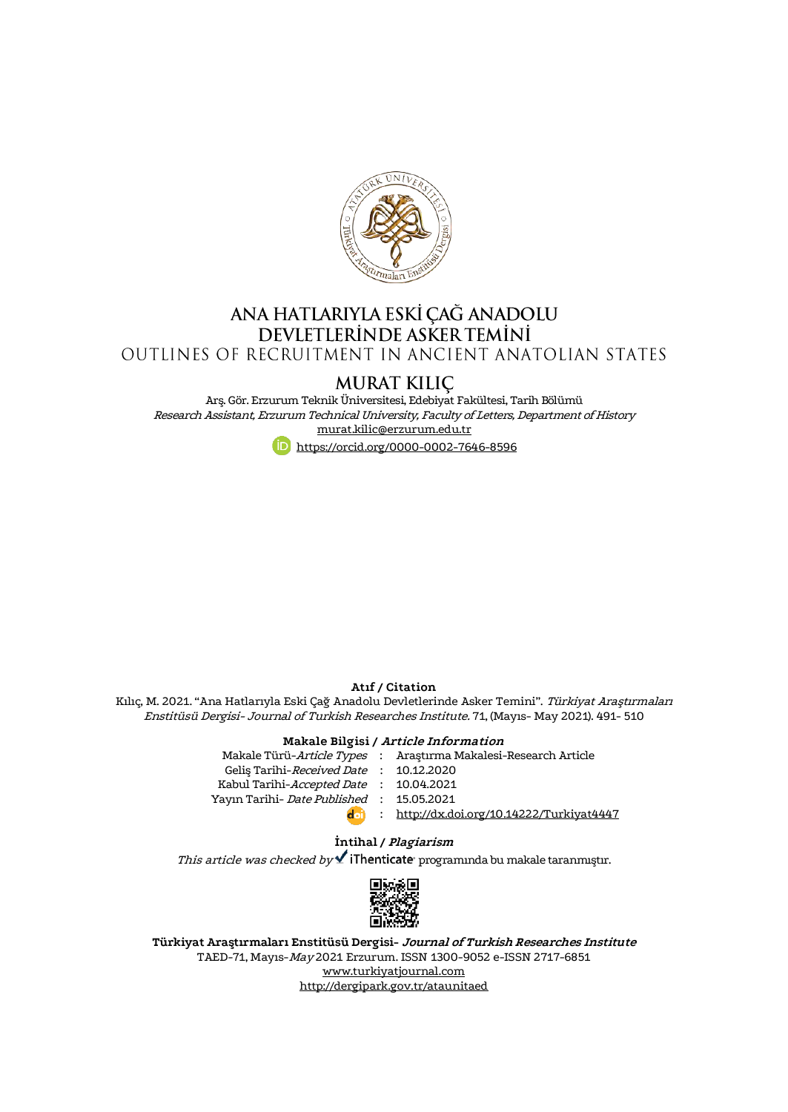

## ANA HATLARIYLA ESKİ ÇAĞ ANADOLU DEVLETLERINDE ASKER TEMINI OUTLINES OF RECRUITMENT IN ANCIENT ANATOLIAN STATES

MURAT KILIÇ

Arş. Gör. Erzurum Teknik Üniversitesi, Edebiyat Fakültesi, Tarih Bölümü Research Assistant, Erzurum Technical University, Faculty of Letters, Department of History [murat.kilic@erzurum.edu.tr](mailto:murat.kilic@erzurum.edu.tr) <https://orcid.org/0000-0002-7646-8596>

#### **Atıf / Citation**

Kılıç, M. 2021. "Ana Hatlarıyla Eski Çağ Anadolu Devletlerinde Asker Temini". Türkiyat Araştırmaları Enstitüsü Dergisi- Journal of Turkish Researches Institute. 71, (Mayıs- May 2021). 491- 510

#### **Makale Bilgisi / Article Information**

|                                           | Makale Türü-Article Types : Araştırma Makalesi-Research Article |
|-------------------------------------------|-----------------------------------------------------------------|
| Gelis Tarihi-Received Date: 10.12.2020    |                                                                 |
| Kabul Tarihi-Accepted Date : 10.04.2021   |                                                                 |
| Yayın Tarihi- Date Published : 15.05.2021 |                                                                 |
| doi)                                      | : http://dx.doi.org/10.14222/Turkiyat4447                       |
|                                           |                                                                 |

## **İntihal / Plagiarism**

This article was checked by  $\checkmark$  iThenticate programında bu makale taranmıştır.



**Türkiyat Araştırmaları Enstitüsü Dergisi- Journal of Turkish Researches Institute** TAED-71, Mayıs-May 2021 Erzurum. ISSN 1300-9052 e-ISSN 2717-6851 [www.turkiyatjournal.com](http://www.turkiyatjournal.com/) <http://dergipark.gov.tr/ataunitaed>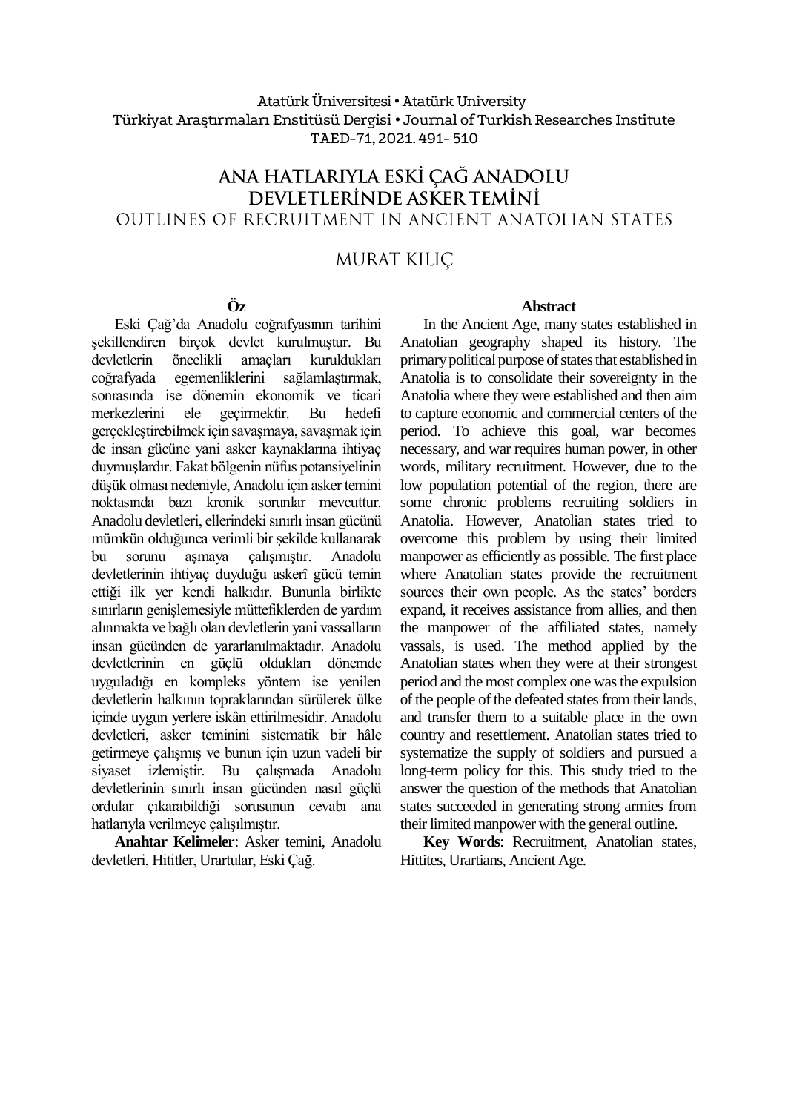## Atatürk Üniversitesi• Atatürk University Türkiyat Araştırmaları Enstitüsü Dergisi • Journal of Turkish Researches Institute TAED-71, 2021.491- 510

# ANA HATLARIYLA ESKİ ÇAĞ ANADOLU DEVLETLERINDE ASKER TEMINI OUTLINES OF RECRUITMENT IN ANCIENT ANATOLIAN STATES

## **MURAT KILIC**

## **Öz**

Eski Çağ'da Anadolu coğrafyasının tarihini şekillendiren birçok devlet kurulmuştur. Bu devletlerin öncelikli amaçları kuruldukları coğrafyada egemenliklerini sağlamlaştırmak, sonrasında ise dönemin ekonomik ve ticari merkezlerini ele geçirmektir. Bu hedefi gerçekleştirebilmek için savaşmaya, savaşmak için de insan gücüne yani asker kaynaklarına ihtiyaç duymuşlardır. Fakat bölgenin nüfus potansiyelinin düşük olması nedeniyle, Anadolu için asker temini noktasında bazı kronik sorunlar mevcuttur. Anadolu devletleri, ellerindeki sınırlı insan gücünü mümkün olduğunca verimli bir şekilde kullanarak bu sorunu aşmaya çalışmıştır. Anadolu devletlerinin ihtiyaç duyduğu askerî gücü temin ettiği ilk yer kendi halkıdır. Bununla birlikte sınırların genişlemesiyle müttefiklerden de yardım alınmakta ve bağlı olan devletlerin yani vassalların insan gücünden de yararlanılmaktadır. Anadolu devletlerinin en güçlü oldukları dönemde uyguladığı en kompleks yöntem ise yenilen devletlerin halkının topraklarından sürülerek ülke içinde uygun yerlere iskân ettirilmesidir. Anadolu devletleri, asker teminini sistematik bir hâle getirmeye çalışmış ve bunun için uzun vadeli bir siyaset izlemiştir. Bu çalışmada Anadolu devletlerinin sınırlı insan gücünden nasıl güçlü ordular çıkarabildiği sorusunun cevabı ana hatlarıyla verilmeye çalışılmıştır.

**Anahtar Kelimeler**: Asker temini, Anadolu devletleri, Hititler, Urartular, Eski Çağ.

#### **Abstract**

In the Ancient Age, many states established in Anatolian geography shaped its history. The primary political purpose of states that established in Anatolia is to consolidate their sovereignty in the Anatolia where they were established and then aim to capture economic and commercial centers of the period. To achieve this goal, war becomes necessary, and war requires human power, in other words, military recruitment. However, due to the low population potential of the region, there are some chronic problems recruiting soldiers in Anatolia. However, Anatolian states tried to overcome this problem by using their limited manpower as efficiently as possible. The first place where Anatolian states provide the recruitment sources their own people. As the states' borders expand, it receives assistance from allies, and then the manpower of the affiliated states, namely vassals, is used. The method applied by the Anatolian states when they were at their strongest period and the most complex one was the expulsion of the people of the defeated states from their lands, and transfer them to a suitable place in the own country and resettlement. Anatolian states tried to systematize the supply of soldiers and pursued a long-term policy for this. This study tried to the answer the question of the methods that Anatolian states succeeded in generating strong armies from their limited manpower with the general outline.

**Key Words**: Recruitment, Anatolian states, Hittites, Urartians, Ancient Age.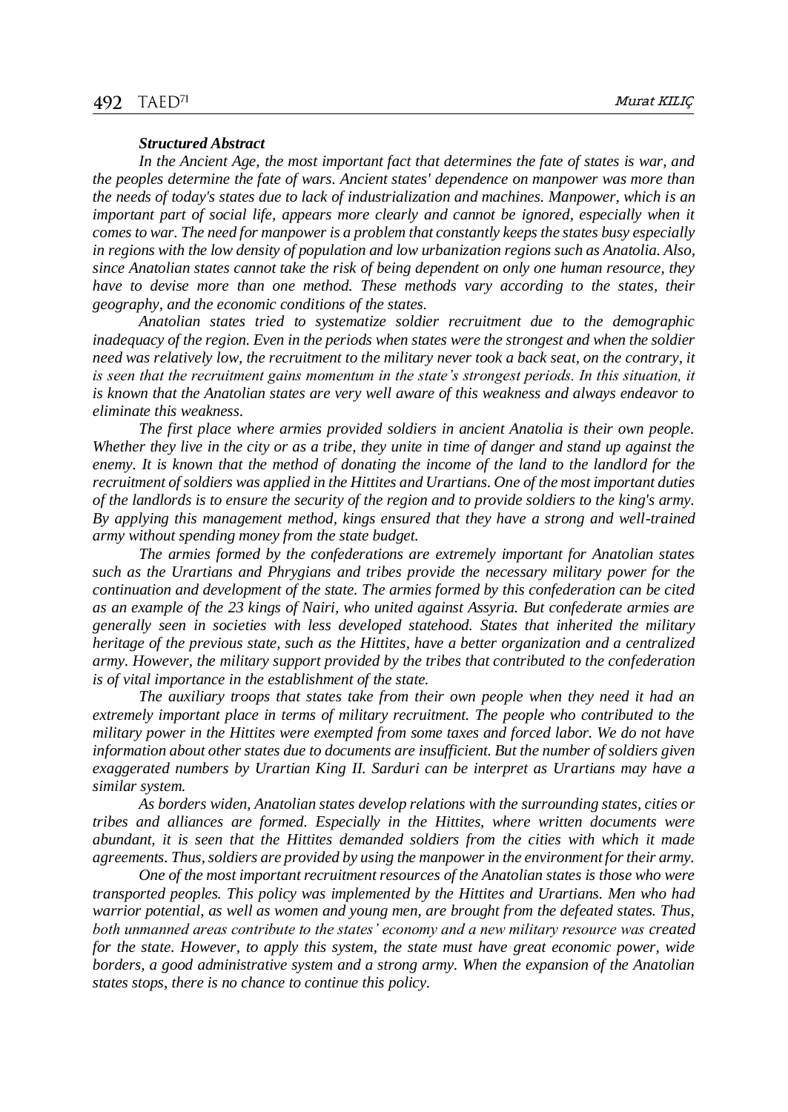#### *Structured Abstract*

*In the Ancient Age, the most important fact that determines the fate of states is war, and the peoples determine the fate of wars. Ancient states' dependence on manpower was more than the needs of today's states due to lack of industrialization and machines. Manpower, which is an important part of social life, appears more clearly and cannot be ignored, especially when it comes to war. The need for manpower is a problem that constantly keeps the states busy especially in regions with the low density of population and low urbanization regions such as Anatolia. Also, since Anatolian states cannot take the risk of being dependent on only one human resource, they have to devise more than one method. These methods vary according to the states, their geography, and the economic conditions of the states.*

*Anatolian states tried to systematize soldier recruitment due to the demographic inadequacy of the region. Even in the periods when states were the strongest and when the soldier need was relatively low, the recruitment to the military never took a back seat, on the contrary, it*  is seen that the recruitment gains momentum in the state's strongest periods. In this situation, it *is known that the Anatolian states are very well aware of this weakness and always endeavor to eliminate this weakness.*

*The first place where armies provided soldiers in ancient Anatolia is their own people. Whether they live in the city or as a tribe, they unite in time of danger and stand up against the enemy. It is known that the method of donating the income of the land to the landlord for the recruitment of soldiers was applied in the Hittites and Urartians. One of the most important duties of the landlords is to ensure the security of the region and to provide soldiers to the king's army. By applying this management method, kings ensured that they have a strong and well-trained army without spending money from the state budget.*

*The armies formed by the confederations are extremely important for Anatolian states such as the Urartians and Phrygians and tribes provide the necessary military power for the continuation and development of the state. The armies formed by this confederation can be cited as an example of the 23 kings of Nairi, who united against Assyria. But confederate armies are generally seen in societies with less developed statehood. States that inherited the military heritage of the previous state, such as the Hittites, have a better organization and a centralized army. However, the military support provided by the tribes that contributed to the confederation is of vital importance in the establishment of the state.*

*The auxiliary troops that states take from their own people when they need it had an extremely important place in terms of military recruitment. The people who contributed to the military power in the Hittites were exempted from some taxes and forced labor. We do not have information about other states due to documents are insufficient. But the number of soldiers given exaggerated numbers by Urartian King II. Sarduri can be interpret as Urartians may have a similar system.*

*As borders widen, Anatolian states develop relations with the surrounding states, cities or tribes and alliances are formed. Especially in the Hittites, where written documents were abundant, it is seen that the Hittites demanded soldiers from the cities with which it made agreements. Thus, soldiers are provided by using the manpower in the environment for their army.*

*One of the most important recruitment resources of the Anatolian states is those who were transported peoples. This policy was implemented by the Hittites and Urartians. Men who had warrior potential, as well as women and young men, are brought from the defeated states. Thus, both unmanned areas contribute to the states' economy and a new military resource was created for the state. However, to apply this system, the state must have great economic power, wide borders, a good administrative system and a strong army. When the expansion of the Anatolian states stops, there is no chance to continue this policy.*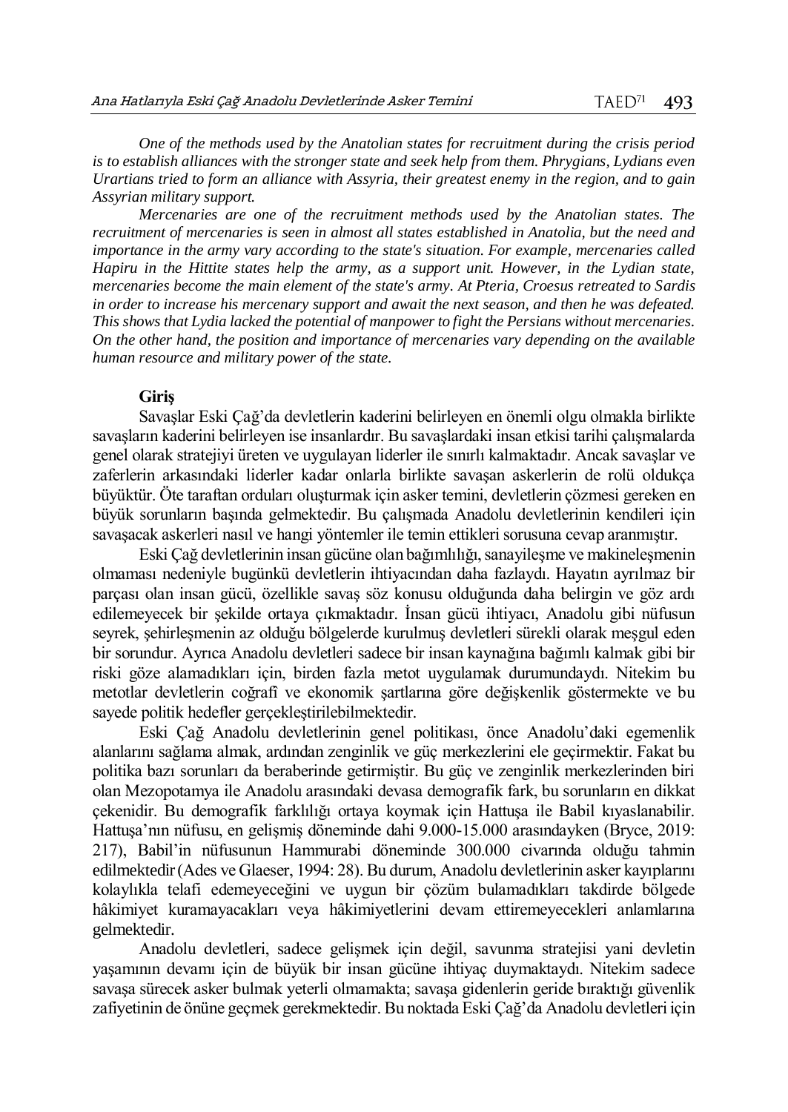*One of the methods used by the Anatolian states for recruitment during the crisis period is to establish alliances with the stronger state and seek help from them. Phrygians, Lydians even Urartians tried to form an alliance with Assyria, their greatest enemy in the region, and to gain Assyrian military support.*

*Mercenaries are one of the recruitment methods used by the Anatolian states. The recruitment of mercenaries is seen in almost all states established in Anatolia, but the need and importance in the army vary according to the state's situation. For example, mercenaries called Hapiru in the Hittite states help the army, as a support unit. However, in the Lydian state, mercenaries become the main element of the state's army. At Pteria, Croesus retreated to Sardis in order to increase his mercenary support and await the next season, and then he was defeated. This shows that Lydia lacked the potential of manpower to fight the Persians without mercenaries. On the other hand, the position and importance of mercenaries vary depending on the available human resource and military power of the state.*

## **Giriş**

Savaşlar Eski Çağ'da devletlerin kaderini belirleyen en önemli olgu olmakla birlikte savaşların kaderini belirleyen ise insanlardır. Bu savaşlardaki insan etkisi tarihi çalışmalarda genel olarak stratejiyi üreten ve uygulayan liderler ile sınırlı kalmaktadır. Ancak savaşlar ve zaferlerin arkasındaki liderler kadar onlarla birlikte savaşan askerlerin de rolü oldukça büyüktür. Öte taraftan orduları oluşturmak için asker temini, devletlerin çözmesi gereken en büyük sorunların başında gelmektedir. Bu çalışmada Anadolu devletlerinin kendileri için savaşacak askerleri nasıl ve hangi yöntemler ile temin ettikleri sorusuna cevap aranmıştır.

Eski Çağ devletlerinin insan gücüne olan bağımlılığı, sanayileşme ve makineleşmenin olmaması nedeniyle bugünkü devletlerin ihtiyacından daha fazlaydı. Hayatın ayrılmaz bir parçası olan insan gücü, özellikle savaş söz konusu olduğunda daha belirgin ve göz ardı edilemeyecek bir şekilde ortaya çıkmaktadır. İnsan gücü ihtiyacı, Anadolu gibi nüfusun seyrek, şehirleşmenin az olduğu bölgelerde kurulmuş devletleri sürekli olarak meşgul eden bir sorundur. Ayrıca Anadolu devletleri sadece bir insan kaynağına bağımlı kalmak gibi bir riski göze alamadıkları için, birden fazla metot uygulamak durumundaydı. Nitekim bu metotlar devletlerin coğrafî ve ekonomik şartlarına göre değişkenlik göstermekte ve bu sayede politik hedefler gerçekleştirilebilmektedir.

Eski Çağ Anadolu devletlerinin genel politikası, önce Anadolu'daki egemenlik alanlarını sağlama almak, ardından zenginlik ve güç merkezlerini ele geçirmektir. Fakat bu politika bazı sorunları da beraberinde getirmiştir. Bu güç ve zenginlik merkezlerinden biri olan Mezopotamya ile Anadolu arasındaki devasa demografik fark, bu sorunların en dikkat çekenidir. Bu demografik farklılığı ortaya koymak için Hattuşa ile Babil kıyaslanabilir. Hattuşa'nın nüfusu, en gelişmiş döneminde dahi 9.000-15.000 arasındayken (Bryce, 2019: 217), Babil'in nüfusunun Hammurabi döneminde 300.000 civarında olduğu tahmin edilmektedir(Ades ve Glaeser, 1994: 28). Bu durum, Anadolu devletlerinin asker kayıplarını kolaylıkla telafi edemeyeceğini ve uygun bir çözüm bulamadıkları takdirde bölgede hâkimiyet kuramayacakları veya hâkimiyetlerini devam ettiremeyecekleri anlamlarına gelmektedir.

Anadolu devletleri, sadece gelişmek için değil, savunma stratejisi yani devletin yaşamının devamı için de büyük bir insan gücüne ihtiyaç duymaktaydı. Nitekim sadece savaşa sürecek asker bulmak yeterli olmamakta; savaşa gidenlerin geride bıraktığı güvenlik zafiyetinin de önüne geçmek gerekmektedir. Bu noktada Eski Çağ'da Anadolu devletleri için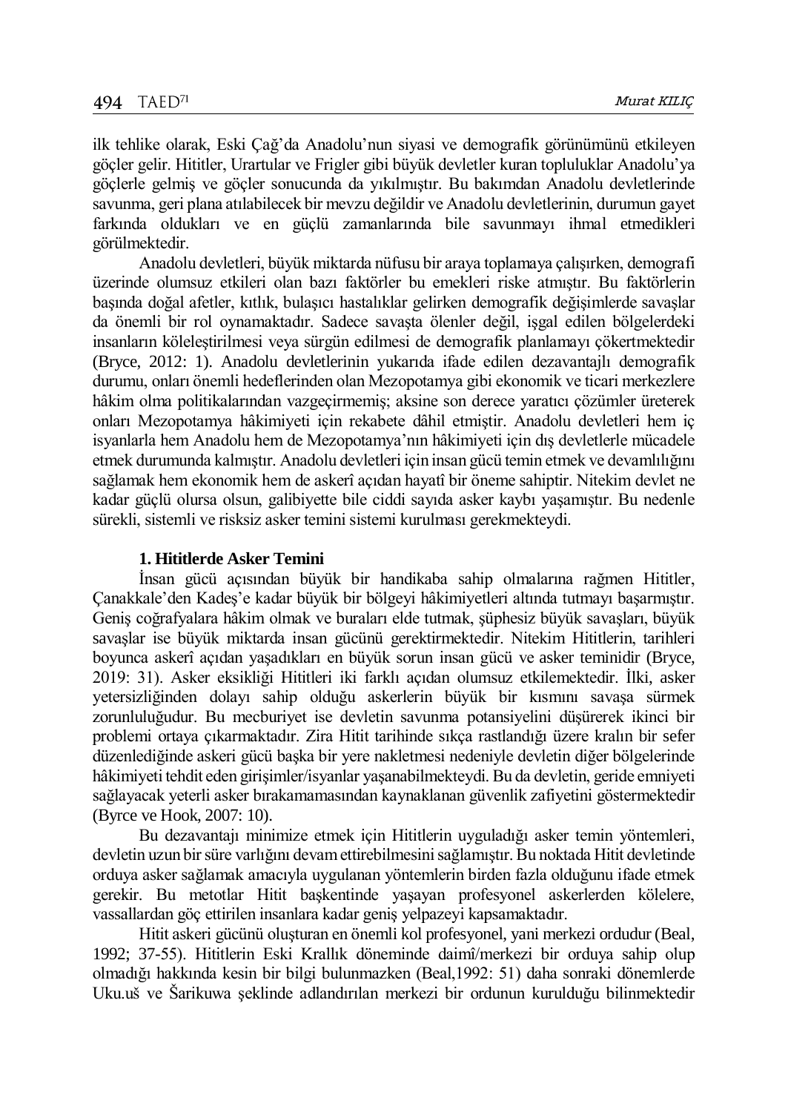ilk tehlike olarak, Eski Çağ'da Anadolu'nun siyasi ve demografik görünümünü etkileyen göçler gelir. Hititler, Urartular ve Frigler gibi büyük devletler kuran topluluklar Anadolu'ya göçlerle gelmiş ve göçler sonucunda da yıkılmıştır. Bu bakımdan Anadolu devletlerinde savunma, geri plana atılabilecek bir mevzu değildir ve Anadolu devletlerinin, durumun gayet farkında oldukları ve en güçlü zamanlarında bile savunmayı ihmal etmedikleri görülmektedir.

Anadolu devletleri, büyük miktarda nüfusu bir araya toplamaya çalışırken, demografi üzerinde olumsuz etkileri olan bazı faktörler bu emekleri riske atmıştır. Bu faktörlerin başında doğal afetler, kıtlık, bulaşıcı hastalıklar gelirken demografik değişimlerde savaşlar da önemli bir rol oynamaktadır. Sadece savaşta ölenler değil, işgal edilen bölgelerdeki insanların köleleştirilmesi veya sürgün edilmesi de demografik planlamayı çökertmektedir (Bryce, 2012: 1). Anadolu devletlerinin yukarıda ifade edilen dezavantajlı demografik durumu, onları önemli hedeflerinden olan Mezopotamya gibi ekonomik ve ticari merkezlere hâkim olma politikalarından vazgeçirmemiş; aksine son derece yaratıcı çözümler üreterek onları Mezopotamya hâkimiyeti için rekabete dâhil etmiştir. Anadolu devletleri hem iç isyanlarla hem Anadolu hem de Mezopotamya'nın hâkimiyeti için dış devletlerle mücadele etmek durumunda kalmıştır. Anadolu devletleri için insan gücü temin etmek ve devamlılığını sağlamak hem ekonomik hem de askerî açıdan hayatî bir öneme sahiptir. Nitekim devlet ne kadar güçlü olursa olsun, galibiyette bile ciddi sayıda asker kaybı yaşamıştır. Bu nedenle sürekli, sistemli ve risksiz asker temini sistemi kurulması gerekmekteydi.

## **1. Hititlerde Asker Temini**

İnsan gücü açısından büyük bir handikaba sahip olmalarına rağmen Hititler, Çanakkale'den Kadeş'e kadar büyük bir bölgeyi hâkimiyetleri altında tutmayı başarmıştır. Geniş coğrafyalara hâkim olmak ve buraları elde tutmak, şüphesiz büyük savaşları, büyük savaşlar ise büyük miktarda insan gücünü gerektirmektedir. Nitekim Hititlerin, tarihleri boyunca askerî açıdan yaşadıkları en büyük sorun insan gücü ve asker teminidir (Bryce, 2019: 31). Asker eksikliği Hititleri iki farklı açıdan olumsuz etkilemektedir. İlki, asker yetersizliğinden dolayı sahip olduğu askerlerin büyük bir kısmını savaşa sürmek zorunluluğudur. Bu mecburiyet ise devletin savunma potansiyelini düşürerek ikinci bir problemi ortaya çıkarmaktadır. Zira Hitit tarihinde sıkça rastlandığı üzere kralın bir sefer düzenlediğinde askeri gücü başka bir yere nakletmesi nedeniyle devletin diğer bölgelerinde hâkimiyeti tehdit eden girişimler/isyanlar yaşanabilmekteydi. Bu da devletin, geride emniyeti sağlayacak yeterli asker bırakamamasından kaynaklanan güvenlik zafiyetini göstermektedir (Byrce ve Hook, 2007: 10).

Bu dezavantajı minimize etmek için Hititlerin uyguladığı asker temin yöntemleri, devletin uzun bir süre varlığını devam ettirebilmesini sağlamıştır. Bu noktada Hitit devletinde orduya asker sağlamak amacıyla uygulanan yöntemlerin birden fazla olduğunu ifade etmek gerekir. Bu metotlar Hitit başkentinde yaşayan profesyonel askerlerden kölelere, vassallardan göç ettirilen insanlara kadar geniş yelpazeyi kapsamaktadır.

Hitit askeri gücünü oluşturan en önemli kol profesyonel, yani merkezi ordudur (Beal, 1992; 37-55). Hititlerin Eski Krallık döneminde daimî/merkezi bir orduya sahip olup olmadığı hakkında kesin bir bilgi bulunmazken (Beal,1992: 51) daha sonraki dönemlerde Uku.uš ve Šarikuwa şeklinde adlandırılan merkezi bir ordunun kurulduğu bilinmektedir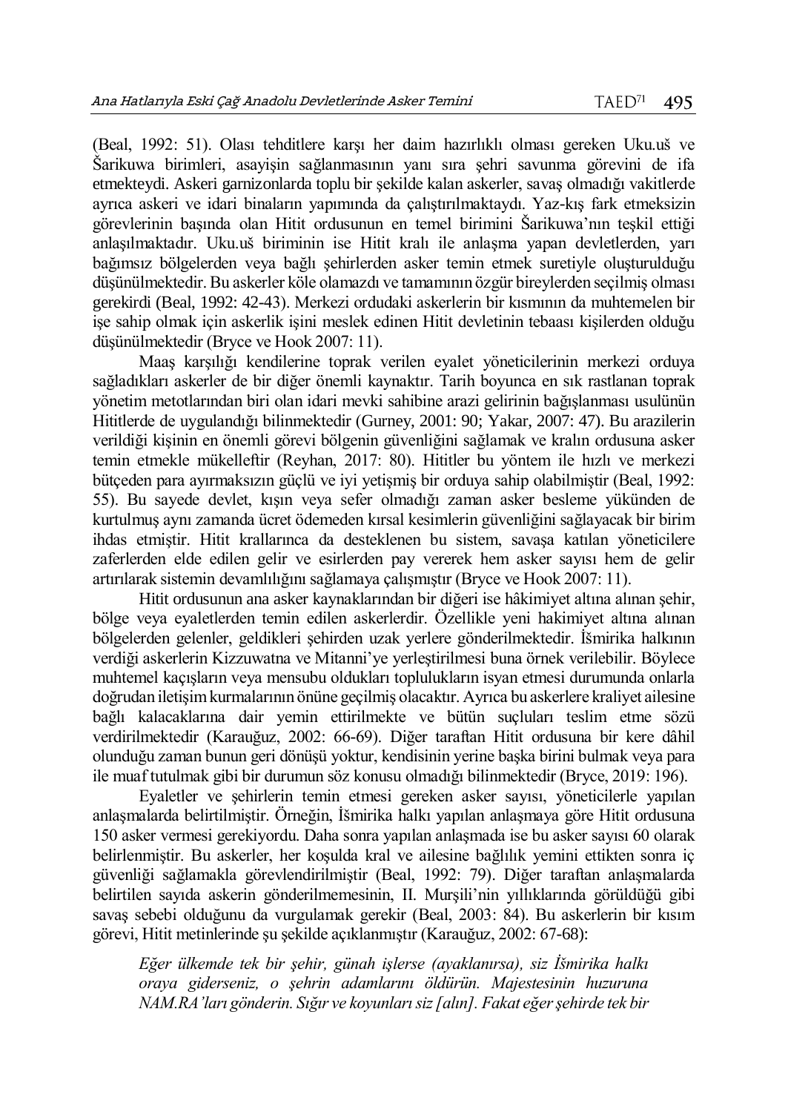(Beal, 1992: 51). Olası tehditlere karşı her daim hazırlıklı olması gereken Uku.uš ve Šarikuwa birimleri, asayişin sağlanmasının yanı sıra şehri savunma görevini de ifa etmekteydi. Askeri garnizonlarda toplu bir şekilde kalan askerler, savaş olmadığı vakitlerde ayrıca askeri ve idari binaların yapımında da çalıştırılmaktaydı. Yaz-kış fark etmeksizin görevlerinin başında olan Hitit ordusunun en temel birimini Šarikuwa'nın teşkil ettiği anlaşılmaktadır. Uku.uš biriminin ise Hitit kralı ile anlaşma yapan devletlerden, yarı bağımsız bölgelerden veya bağlı şehirlerden asker temin etmek suretiyle oluşturulduğu düşünülmektedir. Bu askerler köle olamazdı ve tamamının özgür bireylerden seçilmiş olması gerekirdi (Beal, 1992: 42-43). Merkezi ordudaki askerlerin bir kısmının da muhtemelen bir işe sahip olmak için askerlik işini meslek edinen Hitit devletinin tebaası kişilerden olduğu düşünülmektedir (Bryce ve Hook 2007: 11).

Maaş karşılığı kendilerine toprak verilen eyalet yöneticilerinin merkezi orduya sağladıkları askerler de bir diğer önemli kaynaktır. Tarih boyunca en sık rastlanan toprak yönetim metotlarından biri olan idari mevki sahibine arazi gelirinin bağışlanması usulünün Hititlerde de uygulandığı bilinmektedir (Gurney, 2001: 90; Yakar, 2007: 47). Bu arazilerin verildiği kişinin en önemli görevi bölgenin güvenliğini sağlamak ve kralın ordusuna asker temin etmekle mükelleftir (Reyhan, 2017: 80). Hititler bu yöntem ile hızlı ve merkezi bütçeden para ayırmaksızın güçlü ve iyi yetişmiş bir orduya sahip olabilmiştir (Beal, 1992: 55). Bu sayede devlet, kışın veya sefer olmadığı zaman asker besleme yükünden de kurtulmuş aynı zamanda ücret ödemeden kırsal kesimlerin güvenliğini sağlayacak bir birim ihdas etmiştir. Hitit krallarınca da desteklenen bu sistem, savaşa katılan yöneticilere zaferlerden elde edilen gelir ve esirlerden pay vererek hem asker sayısı hem de gelir artırılarak sistemin devamlılığını sağlamaya çalışmıştır (Bryce ve Hook 2007: 11).

Hitit ordusunun ana asker kaynaklarından bir diğeri ise hâkimiyet altına alınan şehir, bölge veya eyaletlerden temin edilen askerlerdir. Özellikle yeni hakimiyet altına alınan bölgelerden gelenler, geldikleri şehirden uzak yerlere gönderilmektedir. İšmirika halkının verdiği askerlerin Kizzuwatna ve Mitanni'ye yerleştirilmesi buna örnek verilebilir. Böylece muhtemel kaçışların veya mensubu oldukları toplulukların isyan etmesi durumunda onlarla doğrudan iletişim kurmalarının önüne geçilmiş olacaktır. Ayrıca bu askerlere kraliyet ailesine bağlı kalacaklarına dair yemin ettirilmekte ve bütün suçluları teslim etme sözü verdirilmektedir (Karauğuz, 2002: 66-69). Diğer taraftan Hitit ordusuna bir kere dâhil olunduğu zaman bunun geri dönüşü yoktur, kendisinin yerine başka birini bulmak veya para ile muaf tutulmak gibi bir durumun söz konusu olmadığı bilinmektedir (Bryce, 2019: 196).

Eyaletler ve şehirlerin temin etmesi gereken asker sayısı, yöneticilerle yapılan anlaşmalarda belirtilmiştir. Örneğin, İšmirika halkı yapılan anlaşmaya göre Hitit ordusuna 150 asker vermesi gerekiyordu. Daha sonra yapılan anlaşmada ise bu asker sayısı 60 olarak belirlenmiştir. Bu askerler, her koşulda kral ve ailesine bağlılık yemini ettikten sonra iç güvenliği sağlamakla görevlendirilmiştir (Beal, 1992: 79). Diğer taraftan anlaşmalarda belirtilen sayıda askerin gönderilmemesinin, II. Murşili'nin yıllıklarında görüldüğü gibi savaş sebebi olduğunu da vurgulamak gerekir (Beal, 2003: 84). Bu askerlerin bir kısım görevi, Hitit metinlerinde şu şekilde açıklanmıştır (Karauğuz, 2002: 67-68):

*Eğer ülkemde tek bir şehir, günah işlerse (ayaklanırsa), siz İšmirika halkı oraya giderseniz, o şehrin adamlarını öldürün. Majestesinin huzuruna NAM.RA'ları gönderin. Sığır ve koyunları siz [alın]. Fakat eğer şehirde tek bir*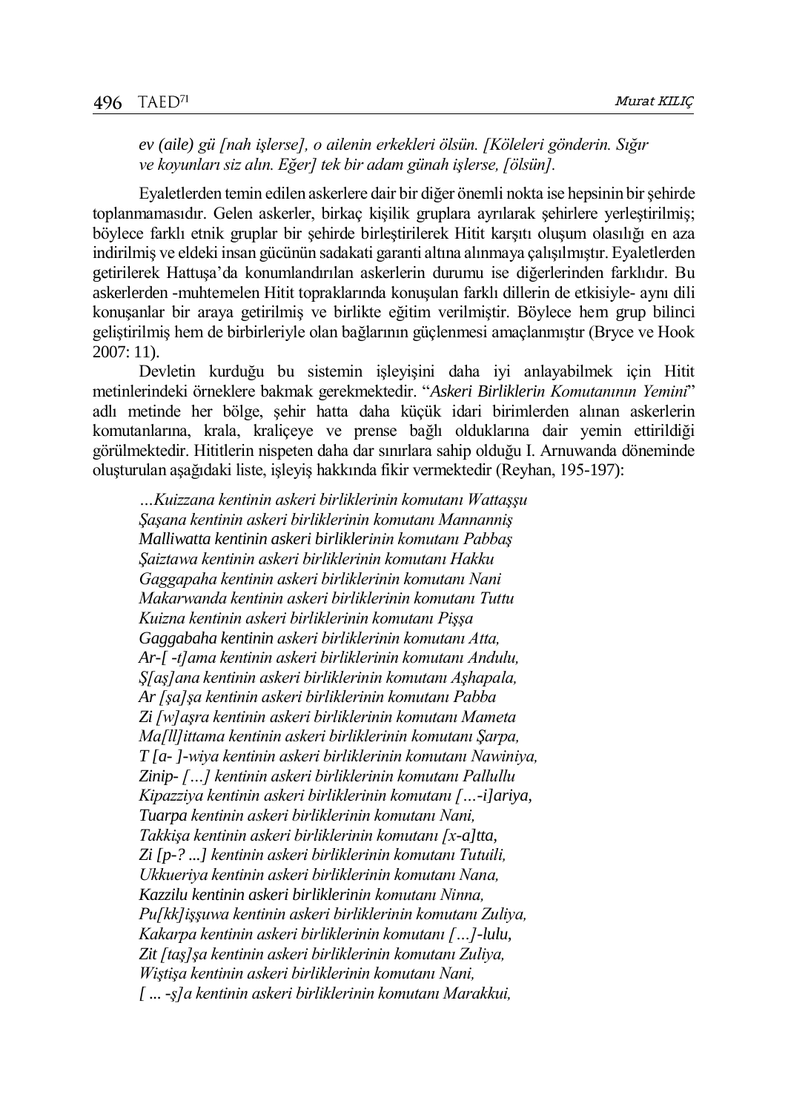*ev (aile) gü [nah işlerse], o ailenin erkekleri ölsün. [Köleleri gönderin. Sığır ve koyunları siz alın. Eğer] tek bir adam günah işlerse, [ölsün].*

Eyaletlerden temin edilen askerlere dair bir diğer önemli nokta ise hepsinin bir şehirde toplanmamasıdır. Gelen askerler, birkaç kişilik gruplara ayrılarak şehirlere yerleştirilmiş; böylece farklı etnik gruplar bir şehirde birleştirilerek Hitit karşıtı oluşum olasılığı en aza indirilmiş ve eldeki insan gücünün sadakati garanti altına alınmaya çalışılmıştır. Eyaletlerden getirilerek Hattuşa'da konumlandırılan askerlerin durumu ise diğerlerinden farklıdır. Bu askerlerden -muhtemelen Hitit topraklarında konuşulan farklı dillerin de etkisiyle- aynı dili konuşanlar bir araya getirilmiş ve birlikte eğitim verilmiştir. Böylece hem grup bilinci geliştirilmiş hem de birbirleriyle olan bağlarının güçlenmesi amaçlanmıştır (Bryce ve Hook 2007: 11).

Devletin kurduğu bu sistemin işleyişini daha iyi anlayabilmek için Hitit metinlerindeki örneklere bakmak gerekmektedir. "*Askeri Birliklerin Komutanının Yemini*" adlı metinde her bölge, şehir hatta daha küçük idari birimlerden alınan askerlerin komutanlarına, krala, kraliçeye ve prense bağlı olduklarına dair yemin ettirildiği görülmektedir. Hititlerin nispeten daha dar sınırlara sahip olduğu I. Arnuwanda döneminde oluşturulan aşağıdaki liste, işleyiş hakkında fikir vermektedir (Reyhan, 195-197):

*…Kuizzana kentinin askeri birliklerinin komutanı Wattaşşu Şaşana kentinin askeri birliklerinin komutanı Mannanniş Malliwatta kentinin askeri birliklerinin komutanı Pabbaş Şaiztawa kentinin askeri birliklerinin komutanı Hakku Gaggapaha kentinin askeri birliklerinin komutanı Nani Makarwanda kentinin askeri birliklerinin komutanı Tuttu Kuizna kentinin askeri birliklerinin komutanı Pişşa Gaggabaha kentinin askeri birliklerinin komutanı Atta, Ar-[ -t]ama kentinin askeri birliklerinin komutanı Andulu, Ş[aş]ana kentinin askeri birliklerinin komutanı Aşhapala, Ar [şa]şa kentinin askeri birliklerinin komutanı Pabba Zi [w]aşra kentinin askeri birliklerinin komutanı Mameta Ma[ll]ittama kentinin askeri birliklerinin komutanı Şarpa, T [a- ]-wiya kentinin askeri birliklerinin komutanı Nawiniya, Zinip- […] kentinin askeri birliklerinin komutanı Pallullu Kipazziya kentinin askeri birliklerinin komutanı […-i]ariya, Tuarpa kentinin askeri birliklerinin komutanı Nani, Takkişa kentinin askeri birliklerinin komutanı [x-a]tta, Zi [p-? ...] kentinin askeri birliklerinin komutanı Tutuili, Ukkueriya kentinin askeri birliklerinin komutanı Nana, Kazzilu kentinin askeri birliklerinin komutanı Ninna, Pu[kk]işşuwa kentinin askeri birliklerinin komutanı Zuliya, Kakarpa kentinin askeri birliklerinin komutanı […]-lulu, Zit [taş]şa kentinin askeri birliklerinin komutanı Zuliya, Wiştişa kentinin askeri birliklerinin komutanı Nani, [ ... -ş]a kentinin askeri birliklerinin komutanı Marakkui,*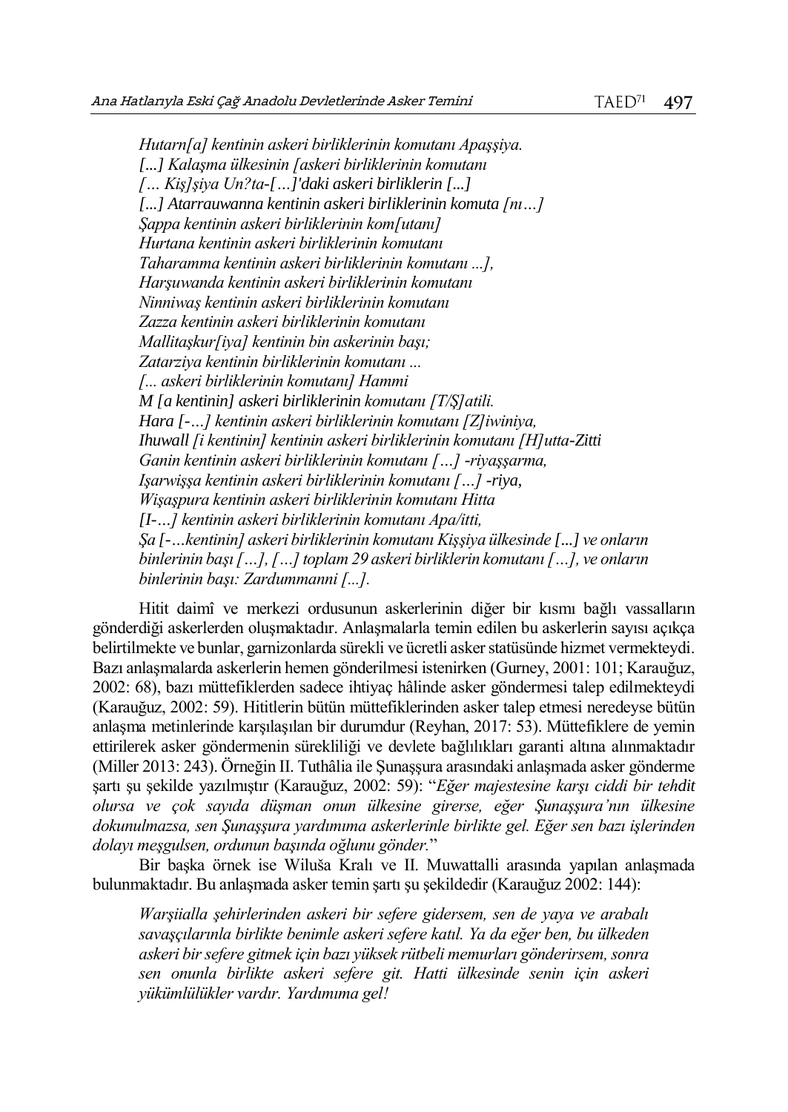*Hutarn[a] kentinin askeri birliklerinin komutanı Apaşşiya. [...] Kalaşma ülkesinin [askeri birliklerinin komutanı [… Kiş]şiya Un?ta-[…]'daki askeri birliklerin [...] [...] Atarrauwanna kentinin askeri birliklerinin komuta [nı…] Şappa kentinin askeri birliklerinin kom[utanı] Hurtana kentinin askeri birliklerinin komutanı Taharamma kentinin askeri birliklerinin komutanı ...], Harşuwanda kentinin askeri birliklerinin komutanı Ninniwaş kentinin askeri birliklerinin komutanı Zazza kentinin askeri birliklerinin komutanı Mallitaşkur[iya] kentinin bin askerinin başı; Zatarziya kentinin birliklerinin komutanı ... [... askeri birliklerinin komutanı] Hammi M [a kentinin] askeri birliklerinin komutanı [T/Ş]atili. Hara [-…] kentinin askeri birliklerinin komutanı [Z]iwiniya, Ihuwall [i kentinin] kentinin askeri birliklerinin komutanı [H]utta-Zitti Ganin kentinin askeri birliklerinin komutanı […] -riyaşşarma, Işarwişşa kentinin askeri birliklerinin komutanı […] -riya, Wişaşpura kentinin askeri birliklerinin komutanı Hitta [I-…] kentinin askeri birliklerinin komutanı Apa/itti, Şa [-…kentinin] askeri birliklerinin komutanı Kişşiya ülkesinde [...] ve onların binlerinin başı […], […] toplam 29 askeri birliklerin komutanı […], ve onların binlerinin başı: Zardummanni [...].*

Hitit daimî ve merkezi ordusunun askerlerinin diğer bir kısmı bağlı vassalların gönderdiği askerlerden oluşmaktadır. Anlaşmalarla temin edilen bu askerlerin sayısı açıkça belirtilmekte ve bunlar, garnizonlarda sürekli ve ücretli asker statüsünde hizmet vermekteydi. Bazı anlaşmalarda askerlerin hemen gönderilmesi istenirken (Gurney, 2001: 101; Karauğuz, 2002: 68), bazı müttefiklerden sadece ihtiyaç hâlinde asker göndermesi talep edilmekteydi (Karauğuz, 2002: 59). Hititlerin bütün müttefiklerinden asker talep etmesi neredeyse bütün anlaşma metinlerinde karşılaşılan bir durumdur (Reyhan, 2017: 53). Müttefiklere de yemin ettirilerek asker göndermenin sürekliliği ve devlete bağlılıkları garanti altına alınmaktadır (Miller 2013: 243). Örneğin II. Tuthâlia ile Şunaşşura arasındaki anlaşmada asker gönderme şartı şu şekilde yazılmıştır (Karauğuz, 2002: 59): "*Eğer majestesine karşı ciddi bir tehdit olursa ve çok sayıda düşman onun ülkesine girerse, eğer Şunaşşura'nın ülkesine dokunulmazsa, sen Şunaşşura yardımıma askerlerinle birlikte gel. Eğer sen bazı işlerinden dolayı meşgulsen, ordunun başında oğlunu gönder.*"

Bir başka örnek ise Wiluša Kralı ve II. Muwattalli arasında yapılan anlaşmada bulunmaktadır. Bu anlaşmada asker temin şartı şu şekildedir (Karauğuz 2002: 144):

*Warşiialla şehirlerinden askeri bir sefere gidersem, sen de yaya ve arabalı savaşçılarınla birlikte benimle askeri sefere katıl. Ya da eğer ben, bu ülkeden askeri bir sefere gitmek için bazı yüksek rütbeli memurları gönderirsem, sonra sen onunla birlikte askeri sefere git. Hatti ülkesinde senin için askeri yükümlülükler vardır. Yardımıma gel!*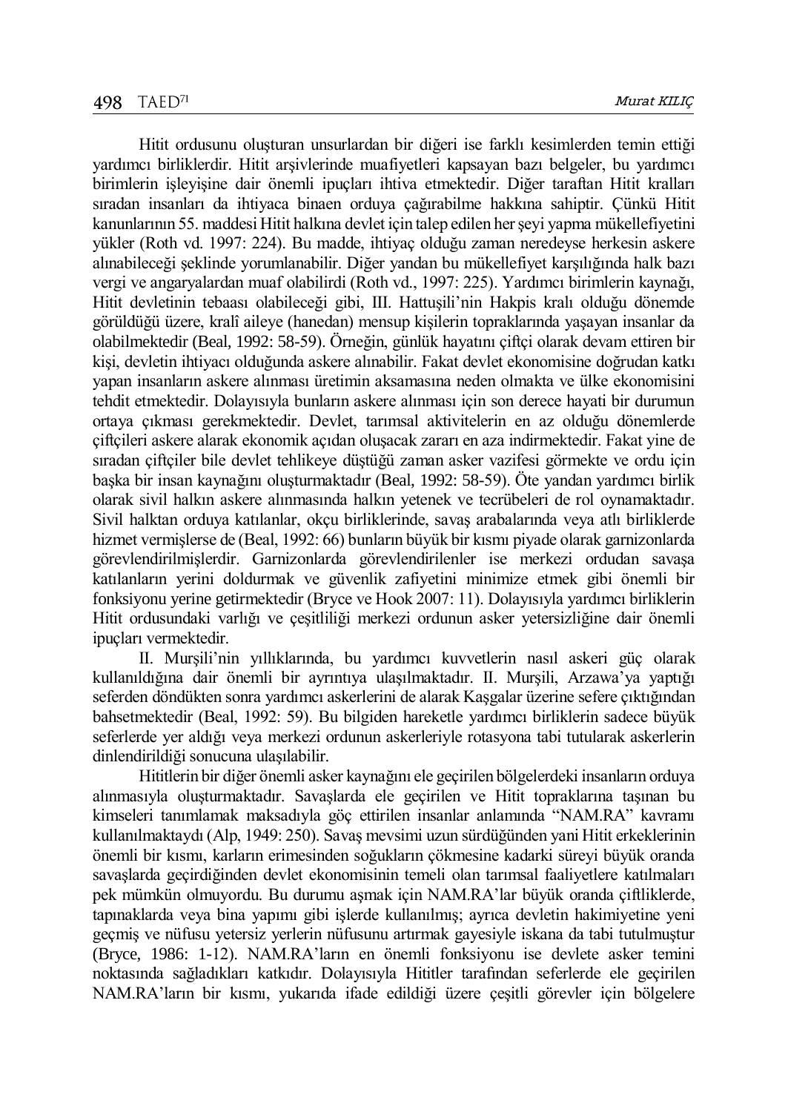Hitit ordusunu oluşturan unsurlardan bir diğeri ise farklı kesimlerden temin ettiği yardımcı birliklerdir. Hitit arşivlerinde muafiyetleri kapsayan bazı belgeler, bu yardımcı birimlerin işleyişine dair önemli ipuçları ihtiva etmektedir. Diğer taraftan Hitit kralları sıradan insanları da ihtiyaca binaen orduya çağırabilme hakkına sahiptir. Çünkü Hitit kanunlarının 55. maddesi Hitit halkına devlet için talep edilen her şeyi yapma mükellefiyetini yükler (Roth vd. 1997: 224). Bu madde, ihtiyaç olduğu zaman neredeyse herkesin askere alınabileceği şeklinde yorumlanabilir. Diğer yandan bu mükellefiyet karşılığında halk bazı vergi ve angaryalardan muaf olabilirdi (Roth vd., 1997: 225). Yardımcı birimlerin kaynağı, Hitit devletinin tebaası olabileceği gibi, III. Hattuşili'nin Hakpis kralı olduğu dönemde görüldüğü üzere, kralî aileye (hanedan) mensup kişilerin topraklarında yaşayan insanlar da olabilmektedir (Beal, 1992: 58-59). Örneğin, günlük hayatını çiftçi olarak devam ettiren bir kişi, devletin ihtiyacı olduğunda askere alınabilir. Fakat devlet ekonomisine doğrudan katkı yapan insanların askere alınması üretimin aksamasına neden olmakta ve ülke ekonomisini tehdit etmektedir. Dolayısıyla bunların askere alınması için son derece hayati bir durumun ortaya çıkması gerekmektedir. Devlet, tarımsal aktivitelerin en az olduğu dönemlerde çiftçileri askere alarak ekonomik açıdan oluşacak zararı en aza indirmektedir. Fakat yine de sıradan çiftçiler bile devlet tehlikeye düştüğü zaman asker vazifesi görmekte ve ordu için başka bir insan kaynağını oluşturmaktadır (Beal, 1992: 58-59). Öte yandan yardımcı birlik olarak sivil halkın askere alınmasında halkın yetenek ve tecrübeleri de rol oynamaktadır. Sivil halktan orduya katılanlar, okçu birliklerinde, savaş arabalarında veya atlı birliklerde hizmet vermişlerse de (Beal, 1992: 66) bunların büyük bir kısmı piyade olarak garnizonlarda görevlendirilmişlerdir. Garnizonlarda görevlendirilenler ise merkezi ordudan savaşa katılanların yerini doldurmak ve güvenlik zafiyetini minimize etmek gibi önemli bir fonksiyonu yerine getirmektedir (Bryce ve Hook 2007: 11). Dolayısıyla yardımcı birliklerin Hitit ordusundaki varlığı ve çeşitliliği merkezi ordunun asker yetersizliğine dair önemli ipuçları vermektedir.

II. Murşili'nin yıllıklarında, bu yardımcı kuvvetlerin nasıl askeri güç olarak kullanıldığına dair önemli bir ayrıntıya ulaşılmaktadır. II. Murşili, Arzawa'ya yaptığı seferden döndükten sonra yardımcı askerlerini de alarak Kaşgalar üzerine sefere çıktığından bahsetmektedir (Beal, 1992: 59). Bu bilgiden hareketle yardımcı birliklerin sadece büyük seferlerde yer aldığı veya merkezi ordunun askerleriyle rotasyona tabi tutularak askerlerin dinlendirildiği sonucuna ulaşılabilir.

Hititlerin bir diğer önemli asker kaynağını ele geçirilen bölgelerdeki insanların orduya alınmasıyla oluşturmaktadır. Savaşlarda ele geçirilen ve Hitit topraklarına taşınan bu kimseleri tanımlamak maksadıyla göç ettirilen insanlar anlamında "NAM.RA" kavramı kullanılmaktaydı (Alp, 1949: 250). Savaş mevsimi uzun sürdüğünden yani Hitit erkeklerinin önemli bir kısmı, karların erimesinden soğukların çökmesine kadarki süreyi büyük oranda savaşlarda geçirdiğinden devlet ekonomisinin temeli olan tarımsal faaliyetlere katılmaları pek mümkün olmuyordu. Bu durumu aşmak için NAM.RA'lar büyük oranda çiftliklerde, tapınaklarda veya bina yapımı gibi işlerde kullanılmış; ayrıca devletin hakimiyetine yeni geçmiş ve nüfusu yetersiz yerlerin nüfusunu artırmak gayesiyle iskana da tabi tutulmuştur (Bryce, 1986: 1-12). NAM.RA'ların en önemli fonksiyonu ise devlete asker temini noktasında sağladıkları katkıdır. Dolayısıyla Hititler tarafından seferlerde ele geçirilen NAM.RA'ların bir kısmı, yukarıda ifade edildiği üzere çeşitli görevler için bölgelere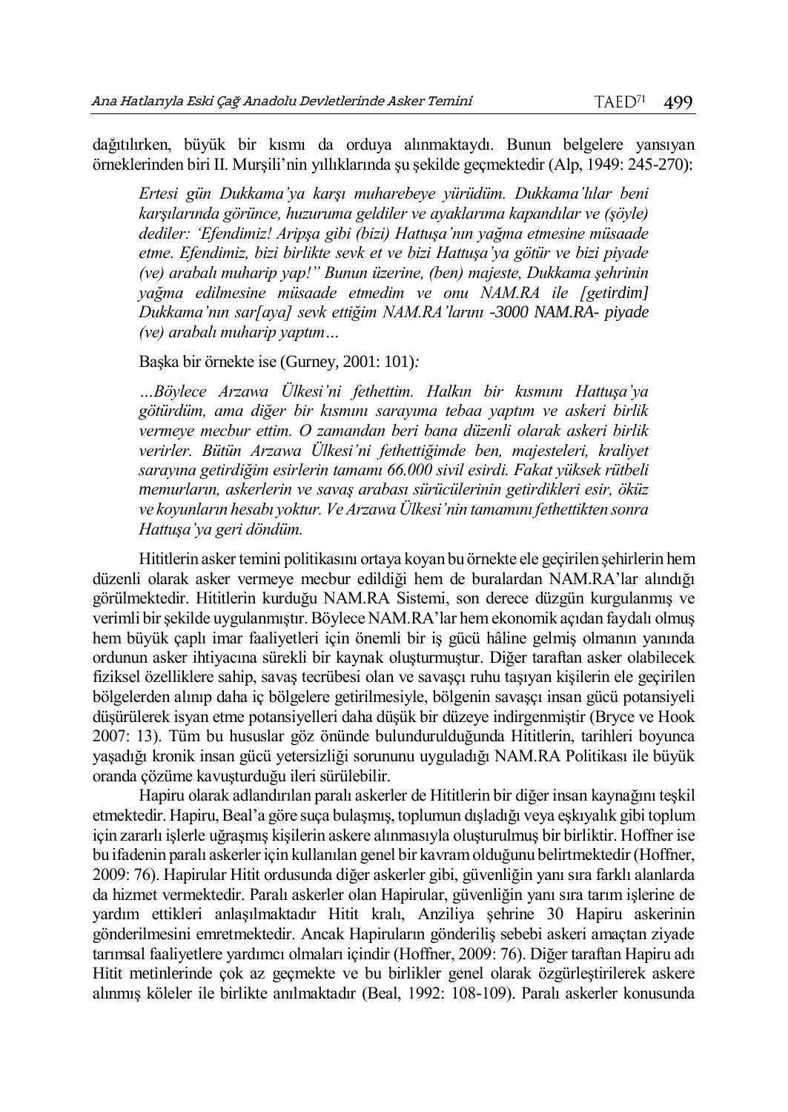dağıtılırken, büyük bir kısmı da orduya alınmaktaydı. Bunun belgelere yansıyan örneklerinden biri II. Murşili'nin yıllıklarında şu şekilde geçmektedir (Alp, 1949: 245-270):

*Ertesi gün Dukkama'ya karşı muharebeye yürüdüm. Dukkama'lılar beni karşılarında görünce, huzuruma geldiler ve ayaklarıma kapandılar ve (şöyle) dediler: 'Efendimiz! Aripşa gibi (bizi) Hattuşa'nın yağma etmesine müsaade etme. Efendimiz, bizi birlikte sevk et ve bizi Hattuşa'ya götür ve bizi piyade (ve) arabalı muharip yap!" Bunun üzerine, (ben) majeste, Dukkama şehrinin yağma edilmesine müsaade etmedim ve onu NAM.RA ile [getirdim] Dukkama'nın sar[aya] sevk ettiğim NAM.RA'larını -3000 NAM.RA- piyade (ve) arabalı muharip yaptım…*

## Başka bir örnekte ise (Gurney, 2001: 101)*:*

*…Böylece Arzawa Ülkesi'ni fethettim. Halkın bir kısmını Hattuşa'ya götürdüm, ama diğer bir kısmını sarayıma tebaa yaptım ve askeri birlik vermeye mecbur ettim. O zamandan beri bana düzenli olarak askeri birlik verirler. Bütün Arzawa Ülkesi'ni fethettiğimde ben, majesteleri, kraliyet sarayına getirdiğim esirlerin tamamı 66.000 sivil esirdi. Fakat yüksek rütbeli memurların, askerlerin ve savaş arabası sürücülerinin getirdikleri esir, öküz ve koyunların hesabı yoktur. Ve Arzawa Ülkesi'nin tamamını fethettikten sonra Hattuşa'ya geri döndüm.*

Hititlerin asker temini politikasını ortaya koyan bu örnekte ele geçirilen şehirlerin hem düzenli olarak asker vermeye mecbur edildiği hem de buralardan NAM.RA'lar alındığı görülmektedir. Hititlerin kurduğu NAM.RA Sistemi, son derece düzgün kurgulanmış ve verimli bir şekilde uygulanmıştır. Böylece NAM.RA'lar hem ekonomik açıdan faydalı olmuş hem büyük çaplı imar faaliyetleri için önemli bir iş gücü hâline gelmiş olmanın yanında ordunun asker ihtiyacına sürekli bir kaynak oluşturmuştur. Diğer taraftan asker olabilecek fiziksel özelliklere sahip, savaş tecrübesi olan ve savaşçı ruhu taşıyan kişilerin ele geçirilen bölgelerden alınıp daha iç bölgelere getirilmesiyle, bölgenin savaşçı insan gücü potansiyeli düşürülerek isyan etme potansiyelleri daha düşük bir düzeye indirgenmiştir (Bryce ve Hook 2007: 13). Tüm bu hususlar göz önünde bulundurulduğunda Hititlerin, tarihleri boyunca yaşadığı kronik insan gücü yetersizliği sorununu uyguladığı NAM.RA Politikası ile büyük oranda çözüme kavuşturduğu ileri sürülebilir.

Hapiru olarak adlandırılan paralı askerler de Hititlerin bir diğer insan kaynağını teşkil etmektedir. Hapiru, Beal'a göre suça bulaşmış, toplumun dışladığı veya eşkıyalık gibi toplum için zararlı işlerle uğraşmış kişilerin askere alınmasıyla oluşturulmuş bir birliktir. Hoffner ise bu ifadenin paralı askerler için kullanılan genel bir kavram olduğunu belirtmektedir (Hoffner, 2009: 76). Hapirular Hitit ordusunda diğer askerler gibi, güvenliğin yanı sıra farklı alanlarda da hizmet vermektedir. Paralı askerler olan Hapirular, güvenliğin yanı sıra tarım işlerine de yardım ettikleri anlaşılmaktadır Hitit kralı, Anziliya şehrine 30 Hapiru askerinin gönderilmesini emretmektedir. Ancak Hapiruların gönderiliş sebebi askeri amaçtan ziyade tarımsal faaliyetlere yardımcı olmaları içindir (Hoffner, 2009: 76). Diğer taraftan Hapiru adı Hitit metinlerinde çok az geçmekte ve bu birlikler genel olarak özgürleştirilerek askere alınmış köleler ile birlikte anılmaktadır (Beal, 1992: 108-109). Paralı askerler konusunda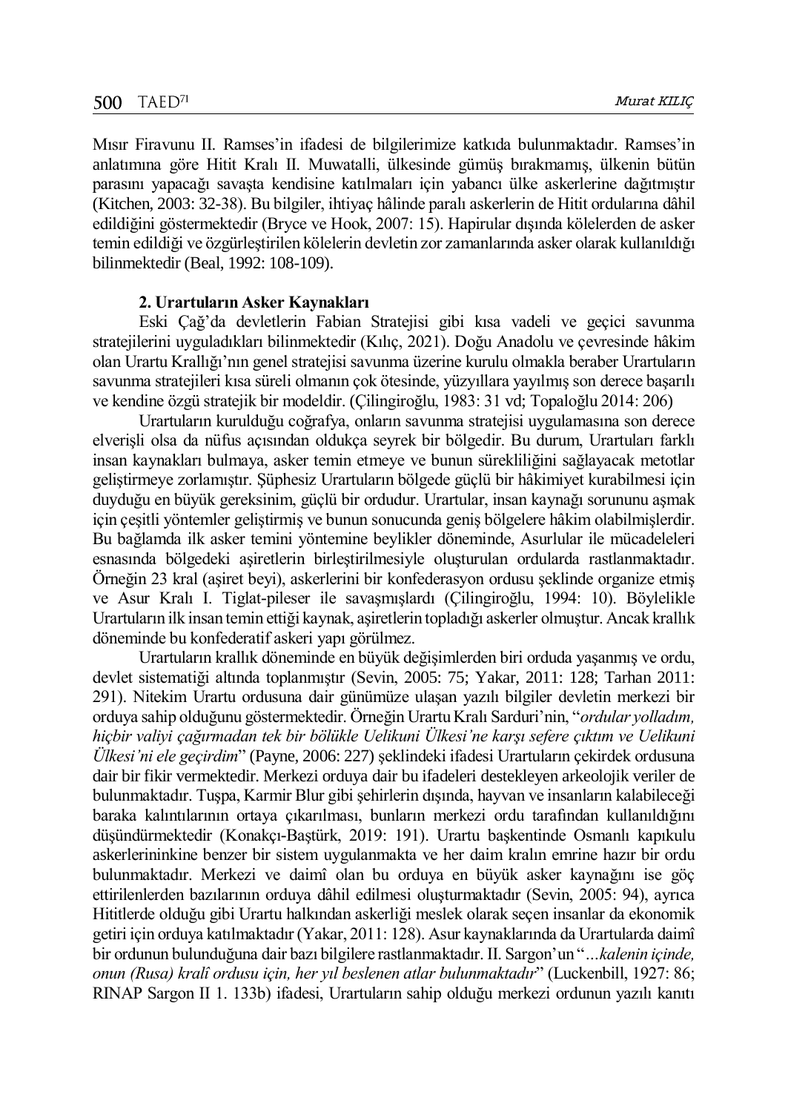Mısır Firavunu II. Ramses'in ifadesi de bilgilerimize katkıda bulunmaktadır. Ramses'in anlatımına göre Hitit Kralı II. Muwatalli, ülkesinde gümüş bırakmamış, ülkenin bütün parasını yapacağı savaşta kendisine katılmaları için yabancı ülke askerlerine dağıtmıştır (Kitchen, 2003: 32-38). Bu bilgiler, ihtiyaç hâlinde paralı askerlerin de Hitit ordularına dâhil edildiğini göstermektedir (Bryce ve Hook, 2007: 15). Hapirular dışında kölelerden de asker temin edildiği ve özgürleştirilen kölelerin devletin zor zamanlarında asker olarak kullanıldığı bilinmektedir (Beal, 1992: 108-109).

#### **2. Urartuların Asker Kaynakları**

Eski Çağ'da devletlerin Fabian Stratejisi gibi kısa vadeli ve geçici savunma stratejilerini uyguladıkları bilinmektedir (Kılıç, 2021). Doğu Anadolu ve çevresinde hâkim olan Urartu Krallığı'nın genel stratejisi savunma üzerine kurulu olmakla beraber Urartuların savunma stratejileri kısa süreli olmanın çok ötesinde, yüzyıllara yayılmış son derece başarılı ve kendine özgü stratejik bir modeldir. (Çilingiroğlu, 1983: 31 vd; Topaloğlu 2014: 206)

Urartuların kurulduğu coğrafya, onların savunma stratejisi uygulamasına son derece elverişli olsa da nüfus açısından oldukça seyrek bir bölgedir. Bu durum, Urartuları farklı insan kaynakları bulmaya, asker temin etmeye ve bunun sürekliliğini sağlayacak metotlar geliştirmeye zorlamıştır. Şüphesiz Urartuların bölgede güçlü bir hâkimiyet kurabilmesi için duyduğu en büyük gereksinim, güçlü bir ordudur. Urartular, insan kaynağı sorununu aşmak için çeşitli yöntemler geliştirmiş ve bunun sonucunda geniş bölgelere hâkim olabilmişlerdir. Bu bağlamda ilk asker temini yöntemine beylikler döneminde, Asurlular ile mücadeleleri esnasında bölgedeki aşiretlerin birleştirilmesiyle oluşturulan ordularda rastlanmaktadır. Örneğin 23 kral (aşiret beyi), askerlerini bir konfederasyon ordusu şeklinde organize etmiş ve Asur Kralı I. Tiglat-pileser ile savaşmışlardı (Çilingiroğlu, 1994: 10). Böylelikle Urartuların ilk insan temin ettiği kaynak, aşiretlerin topladığı askerler olmuştur. Ancak krallık döneminde bu konfederatif askeri yapı görülmez.

Urartuların krallık döneminde en büyük değişimlerden biri orduda yaşanmış ve ordu, devlet sistematiği altında toplanmıştır (Sevin, 2005: 75; Yakar, 2011: 128; Tarhan 2011: 291). Nitekim Urartu ordusuna dair günümüze ulaşan yazılı bilgiler devletin merkezi bir orduya sahip olduğunu göstermektedir. Örneğin Urartu Kralı Sarduri'nin, "*ordular yolladım, hiçbir valiyi çağırmadan tek bir bölükle Uelikuni Ülkesi'ne karşı sefere çıktım ve Uelikuni Ülkesi'ni ele geçirdim*" (Payne, 2006: 227) şeklindeki ifadesi Urartuların çekirdek ordusuna dair bir fikir vermektedir. Merkezi orduya dair bu ifadeleri destekleyen arkeolojik veriler de bulunmaktadır. Tuşpa, Karmir Blur gibi şehirlerin dışında, hayvan ve insanların kalabileceği baraka kalıntılarının ortaya çıkarılması, bunların merkezi ordu tarafından kullanıldığını düşündürmektedir (Konakçı-Baştürk, 2019: 191). Urartu başkentinde Osmanlı kapıkulu askerlerininkine benzer bir sistem uygulanmakta ve her daim kralın emrine hazır bir ordu bulunmaktadır. Merkezi ve daimî olan bu orduya en büyük asker kaynağını ise göç ettirilenlerden bazılarının orduya dâhil edilmesi oluşturmaktadır (Sevin, 2005: 94), ayrıca Hititlerde olduğu gibi Urartu halkından askerliği meslek olarak seçen insanlar da ekonomik getiri için orduya katılmaktadır (Yakar, 2011: 128). Asur kaynaklarında da Urartularda daimî bir ordunun bulunduğuna dair bazı bilgilere rastlanmaktadır. II. Sargon'un "*…kalenin içinde, onun (Rusa) kralî ordusu için, her yıl beslenen atlar bulunmaktadır*" (Luckenbill, 1927: 86; RINAP Sargon II 1. 133b) ifadesi, Urartuların sahip olduğu merkezi ordunun yazılı kanıtı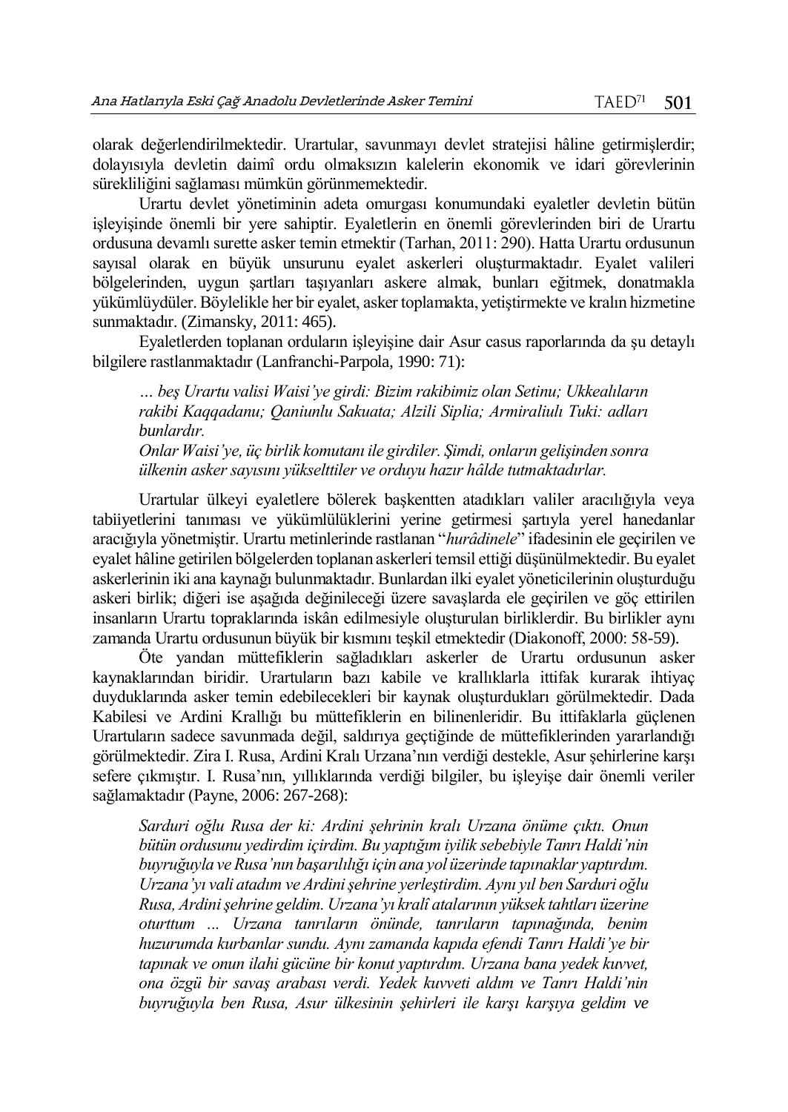olarak değerlendirilmektedir. Urartular, savunmayı devlet stratejisi hâline getirmişlerdir; dolayısıyla devletin daimî ordu olmaksızın kalelerin ekonomik ve idari görevlerinin sürekliliğini sağlaması mümkün görünmemektedir.

Urartu devlet yönetiminin adeta omurgası konumundaki eyaletler devletin bütün işleyişinde önemli bir yere sahiptir. Eyaletlerin en önemli görevlerinden biri de Urartu ordusuna devamlı surette asker temin etmektir (Tarhan, 2011: 290). Hatta Urartu ordusunun sayısal olarak en büyük unsurunu eyalet askerleri oluşturmaktadır. Eyalet valileri bölgelerinden, uygun şartları taşıyanları askere almak, bunları eğitmek, donatmakla yükümlüydüler. Böylelikle her bir eyalet, asker toplamakta, yetiştirmekte ve kralın hizmetine sunmaktadır. (Zimansky, 2011: 465).

Eyaletlerden toplanan orduların işleyişine dair Asur casus raporlarında da şu detaylı bilgilere rastlanmaktadır (Lanfranchi-Parpola, 1990: 71):

*… beş Urartu valisi Waisi'ye girdi: Bizim rakibimiz olan Setinu; Ukkealıların rakibi Kaqqadanu; Qaniunlu Sakuata; Alzili Siplia; Armiraliulı Tuki: adları bunlardır.*

*Onlar Waisi'ye, üç birlik komutanı ile girdiler. Şimdi, onların gelişinden sonra ülkenin asker sayısını yükselttiler ve orduyu hazır hâlde tutmaktadırlar.*

Urartular ülkeyi eyaletlere bölerek başkentten atadıkları valiler aracılığıyla veya tabiiyetlerini tanıması ve yükümlülüklerini yerine getirmesi şartıyla yerel hanedanlar aracığıyla yönetmiştir. Urartu metinlerinde rastlanan "*hurâdinele*" ifadesinin ele geçirilen ve eyalet hâline getirilen bölgelerden toplanan askerleri temsil ettiği düşünülmektedir. Bu eyalet askerlerinin iki ana kaynağı bulunmaktadır. Bunlardan ilki eyalet yöneticilerinin oluşturduğu askeri birlik; diğeri ise aşağıda değinileceği üzere savaşlarda ele geçirilen ve göç ettirilen insanların Urartu topraklarında iskân edilmesiyle oluşturulan birliklerdir. Bu birlikler aynı zamanda Urartu ordusunun büyük bir kısmını teşkil etmektedir (Diakonoff, 2000: 58-59).

Öte yandan müttefiklerin sağladıkları askerler de Urartu ordusunun asker kaynaklarından biridir. Urartuların bazı kabile ve krallıklarla ittifak kurarak ihtiyaç duyduklarında asker temin edebilecekleri bir kaynak oluşturdukları görülmektedir. Dada Kabilesi ve Ardini Krallığı bu müttefiklerin en bilinenleridir. Bu ittifaklarla güçlenen Urartuların sadece savunmada değil, saldırıya geçtiğinde de müttefiklerinden yararlandığı görülmektedir. Zira I. Rusa, Ardini Kralı Urzana'nın verdiği destekle, Asur şehirlerine karşı sefere çıkmıştır. I. Rusa'nın, yıllıklarında verdiği bilgiler, bu işleyişe dair önemli veriler sağlamaktadır (Payne, 2006: 267-268):

*Sarduri oğlu Rusa der ki: Ardini şehrinin kralı Urzana önüme çıktı. Onun bütün ordusunu yedirdim içirdim. Bu yaptığım iyilik sebebiyle Tanrı Haldi'nin buyruğuyla ve Rusa'nın başarılılığı için ana yol üzerinde tapınaklar yaptırdım. Urzana'yı vali atadım ve Ardini şehrine yerleştirdim. Aynı yıl ben Sarduri oğlu Rusa, Ardini şehrine geldim. Urzana'yı kralî atalarının yüksek tahtları üzerine oturttum ... Urzana tanrıların önünde, tanrıların tapınağında, benim huzurumda kurbanlar sundu. Aynı zamanda kapıda efendi Tanrı Haldi'ye bir tapınak ve onun ilahi gücüne bir konut yaptırdım. Urzana bana yedek kuvvet, ona özgü bir savaş arabası verdi. Yedek kuvveti aldım ve Tanrı Haldi'nin buyruğuyla ben Rusa, Asur ülkesinin şehirleri ile karşı karşıya geldim ve*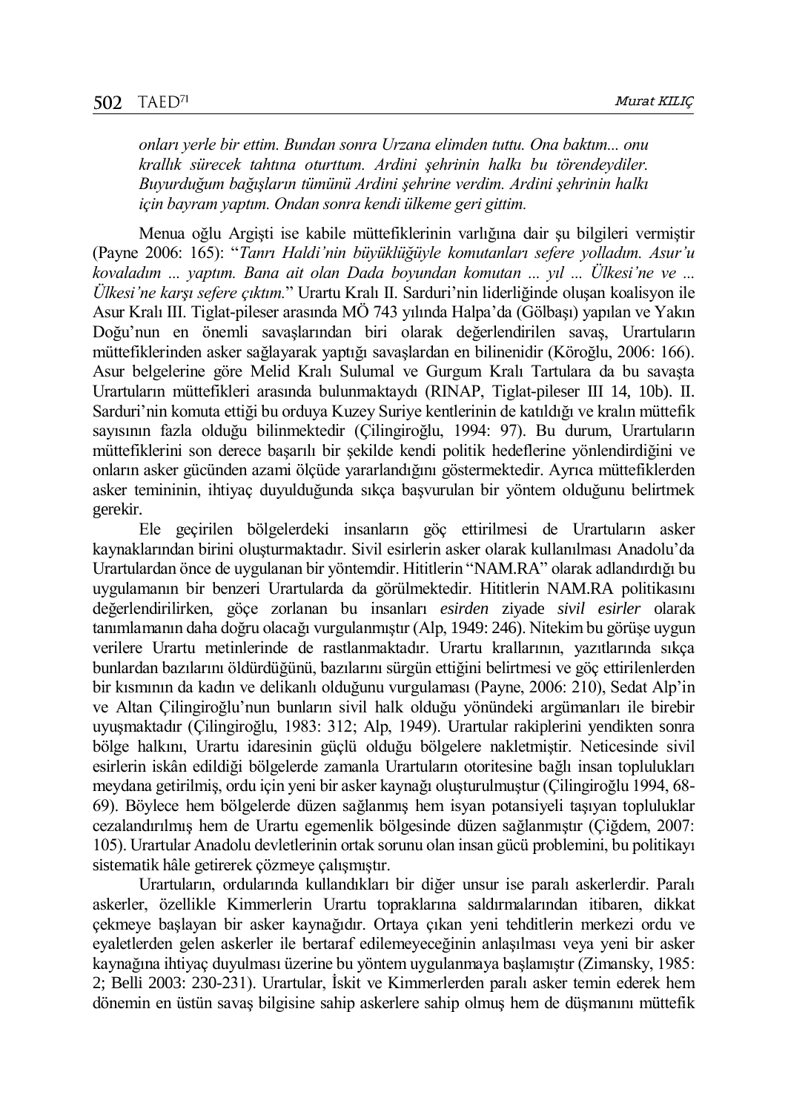*onları yerle bir ettim. Bundan sonra Urzana elimden tuttu. Ona baktım... onu krallık sürecek tahtına oturttum. Ardini şehrinin halkı bu törendeydiler. Buyurduğum bağışların tümünü Ardini şehrine verdim. Ardini şehrinin halkı için bayram yaptım. Ondan sonra kendi ülkeme geri gittim.* 

Menua oğlu Argişti ise kabile müttefiklerinin varlığına dair şu bilgileri vermiştir (Payne 2006: 165): "*Tanrı Haldi'nin büyüklüğüyle komutanları sefere yolladım. Asur'u kovaladım ... yaptım. Bana ait olan Dada boyundan komutan ... yıl ... Ülkesi'ne ve ... Ülkesi'ne karşı sefere çıktım.*" Urartu Kralı II. Sarduri'nin liderliğinde oluşan koalisyon ile Asur Kralı III. Tiglat-pileser arasında MÖ 743 yılında Halpa'da (Gölbaşı) yapılan ve Yakın Doğu'nun en önemli savaşlarından biri olarak değerlendirilen savaş, Urartuların müttefiklerinden asker sağlayarak yaptığı savaşlardan en bilinenidir (Köroğlu, 2006: 166). Asur belgelerine göre Melid Kralı Sulumal ve Gurgum Kralı Tartulara da bu savaşta Urartuların müttefikleri arasında bulunmaktaydı (RINAP, Tiglat-pileser III 14, 10b). II. Sarduri'nin komuta ettiği bu orduya Kuzey Suriye kentlerinin de katıldığı ve kralın müttefik sayısının fazla olduğu bilinmektedir (Çilingiroğlu, 1994: 97). Bu durum, Urartuların müttefiklerini son derece başarılı bir şekilde kendi politik hedeflerine yönlendirdiğini ve onların asker gücünden azami ölçüde yararlandığını göstermektedir. Ayrıca müttefiklerden asker temininin, ihtiyaç duyulduğunda sıkça başvurulan bir yöntem olduğunu belirtmek gerekir.

Ele geçirilen bölgelerdeki insanların göç ettirilmesi de Urartuların asker kaynaklarından birini oluşturmaktadır. Sivil esirlerin asker olarak kullanılması Anadolu'da Urartulardan önce de uygulanan bir yöntemdir. Hititlerin "NAM.RA" olarak adlandırdığı bu uygulamanın bir benzeri Urartularda da görülmektedir. Hititlerin NAM.RA politikasını değerlendirilirken, göçe zorlanan bu insanları *esirden* ziyade *sivil esirler* olarak tanımlamanın daha doğru olacağı vurgulanmıştır (Alp, 1949: 246). Nitekim bu görüşe uygun verilere Urartu metinlerinde de rastlanmaktadır. Urartu krallarının, yazıtlarında sıkça bunlardan bazılarını öldürdüğünü, bazılarını sürgün ettiğini belirtmesi ve göç ettirilenlerden bir kısmının da kadın ve delikanlı olduğunu vurgulaması (Payne, 2006: 210), Sedat Alp'in ve Altan Çilingiroğlu'nun bunların sivil halk olduğu yönündeki argümanları ile birebir uyuşmaktadır (Çilingiroğlu, 1983: 312; Alp, 1949). Urartular rakiplerini yendikten sonra bölge halkını, Urartu idaresinin güçlü olduğu bölgelere nakletmiştir. Neticesinde sivil esirlerin iskân edildiği bölgelerde zamanla Urartuların otoritesine bağlı insan toplulukları meydana getirilmiş, ordu için yeni bir asker kaynağı oluşturulmuştur (Çilingiroğlu 1994, 68- 69). Böylece hem bölgelerde düzen sağlanmış hem isyan potansiyeli taşıyan topluluklar cezalandırılmış hem de Urartu egemenlik bölgesinde düzen sağlanmıştır (Çiğdem, 2007: 105). Urartular Anadolu devletlerinin ortak sorunu olan insan gücü problemini, bu politikayı sistematik hâle getirerek çözmeye çalışmıştır.

Urartuların, ordularında kullandıkları bir diğer unsur ise paralı askerlerdir. Paralı askerler, özellikle Kimmerlerin Urartu topraklarına saldırmalarından itibaren, dikkat çekmeye başlayan bir asker kaynağıdır. Ortaya çıkan yeni tehditlerin merkezi ordu ve eyaletlerden gelen askerler ile bertaraf edilemeyeceğinin anlaşılması veya yeni bir asker kaynağına ihtiyaç duyulması üzerine bu yöntem uygulanmaya başlamıştır (Zimansky, 1985: 2; Belli 2003: 230-231). Urartular, İskit ve Kimmerlerden paralı asker temin ederek hem dönemin en üstün savaş bilgisine sahip askerlere sahip olmuş hem de düşmanını müttefik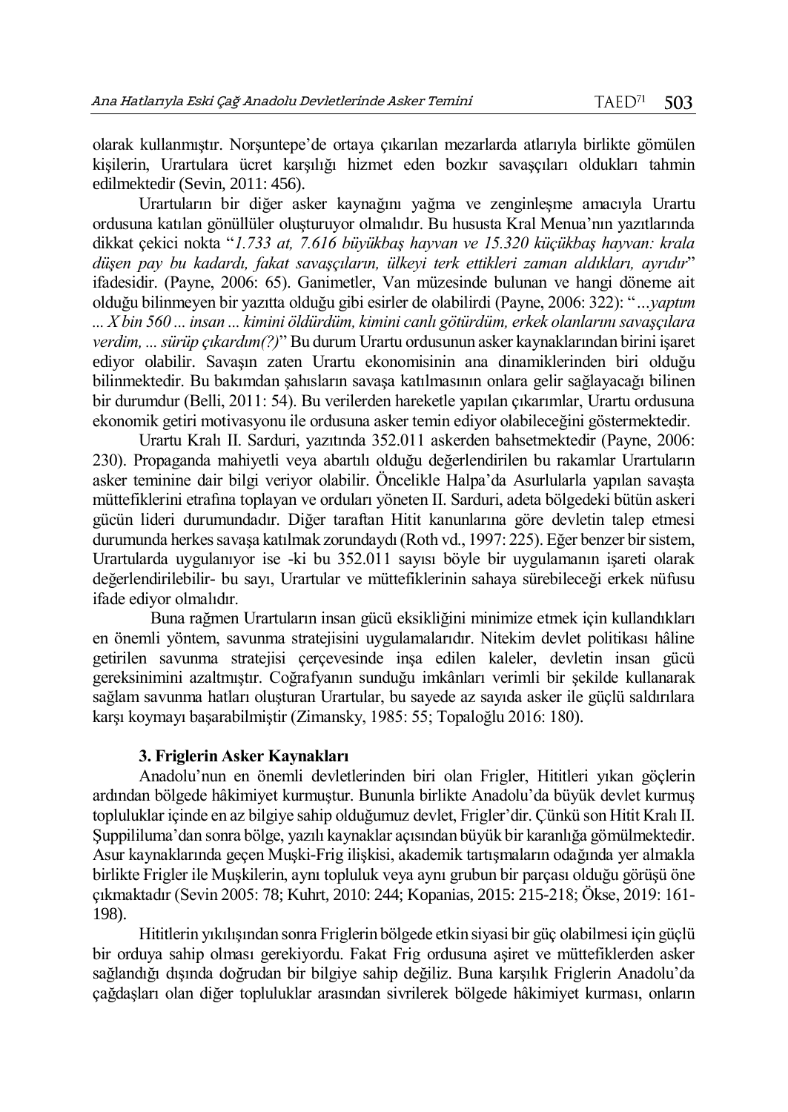olarak kullanmıştır. Norşuntepe'de ortaya çıkarılan mezarlarda atlarıyla birlikte gömülen kişilerin, Urartulara ücret karşılığı hizmet eden bozkır savaşçıları oldukları tahmin edilmektedir (Sevin, 2011: 456).

Urartuların bir diğer asker kaynağını yağma ve zenginleşme amacıyla Urartu ordusuna katılan gönüllüler oluşturuyor olmalıdır. Bu hususta Kral Menua'nın yazıtlarında dikkat çekici nokta "*1.733 at, 7.616 büyükbaş hayvan ve 15.320 küçükbaş hayvan: krala düşen pay bu kadardı, fakat savaşçıların, ülkeyi terk ettikleri zaman aldıkları, ayrıdır*" ifadesidir. (Payne, 2006: 65). Ganimetler, Van müzesinde bulunan ve hangi döneme ait olduğu bilinmeyen bir yazıtta olduğu gibi esirler de olabilirdi (Payne, 2006: 322): "*…yaptım ... X bin 560 ... insan ... kimini öldürdüm, kimini canlı götürdüm, erkek olanlarını savaşçılara verdim, ... sürüp çıkardım(?)*" Bu durum Urartu ordusunun asker kaynaklarından birini işaret ediyor olabilir. Savaşın zaten Urartu ekonomisinin ana dinamiklerinden biri olduğu bilinmektedir. Bu bakımdan şahısların savaşa katılmasının onlara gelir sağlayacağı bilinen bir durumdur (Belli, 2011: 54). Bu verilerden hareketle yapılan çıkarımlar, Urartu ordusuna ekonomik getiri motivasyonu ile ordusuna asker temin ediyor olabileceğini göstermektedir.

Urartu Kralı II. Sarduri, yazıtında 352.011 askerden bahsetmektedir (Payne, 2006: 230). Propaganda mahiyetli veya abartılı olduğu değerlendirilen bu rakamlar Urartuların asker teminine dair bilgi veriyor olabilir. Öncelikle Halpa'da Asurlularla yapılan savaşta müttefiklerini etrafına toplayan ve orduları yöneten II. Sarduri, adeta bölgedeki bütün askeri gücün lideri durumundadır. Diğer taraftan Hitit kanunlarına göre devletin talep etmesi durumunda herkes savaşa katılmak zorundaydı (Roth vd., 1997: 225). Eğer benzer bir sistem, Urartularda uygulanıyor ise -ki bu 352.011 sayısı böyle bir uygulamanın işareti olarak değerlendirilebilir- bu sayı, Urartular ve müttefiklerinin sahaya sürebileceği erkek nüfusu ifade ediyor olmalıdır.

Buna rağmen Urartuların insan gücü eksikliğini minimize etmek için kullandıkları en önemli yöntem, savunma stratejisini uygulamalarıdır. Nitekim devlet politikası hâline getirilen savunma stratejisi çerçevesinde inşa edilen kaleler, devletin insan gücü gereksinimini azaltmıştır. Coğrafyanın sunduğu imkânları verimli bir şekilde kullanarak sağlam savunma hatları oluşturan Urartular, bu sayede az sayıda asker ile güçlü saldırılara karşı koymayı başarabilmiştir (Zimansky, 1985: 55; Topaloğlu 2016: 180).

## **3. Friglerin Asker Kaynakları**

Anadolu'nun en önemli devletlerinden biri olan Frigler, Hititleri yıkan göçlerin ardından bölgede hâkimiyet kurmuştur. Bununla birlikte Anadolu'da büyük devlet kurmuş topluluklar içinde en az bilgiye sahip olduğumuz devlet, Frigler'dir. Çünkü son Hitit Kralı II. Şuppililuma'dan sonra bölge, yazılı kaynaklar açısından büyük bir karanlığa gömülmektedir. Asur kaynaklarında geçen Muşki-Frig ilişkisi, akademik tartışmaların odağında yer almakla birlikte Frigler ile Muşkilerin, aynı topluluk veya aynı grubun bir parçası olduğu görüşü öne çıkmaktadır (Sevin 2005: 78; Kuhrt, 2010: 244; Kopanias, 2015: 215-218; Ökse, 2019: 161- 198).

Hititlerin yıkılışından sonra Friglerin bölgede etkin siyasi bir güç olabilmesi için güçlü bir orduya sahip olması gerekiyordu. Fakat Frig ordusuna aşiret ve müttefiklerden asker sağlandığı dışında doğrudan bir bilgiye sahip değiliz. Buna karşılık Friglerin Anadolu'da çağdaşları olan diğer topluluklar arasından sivrilerek bölgede hâkimiyet kurması, onların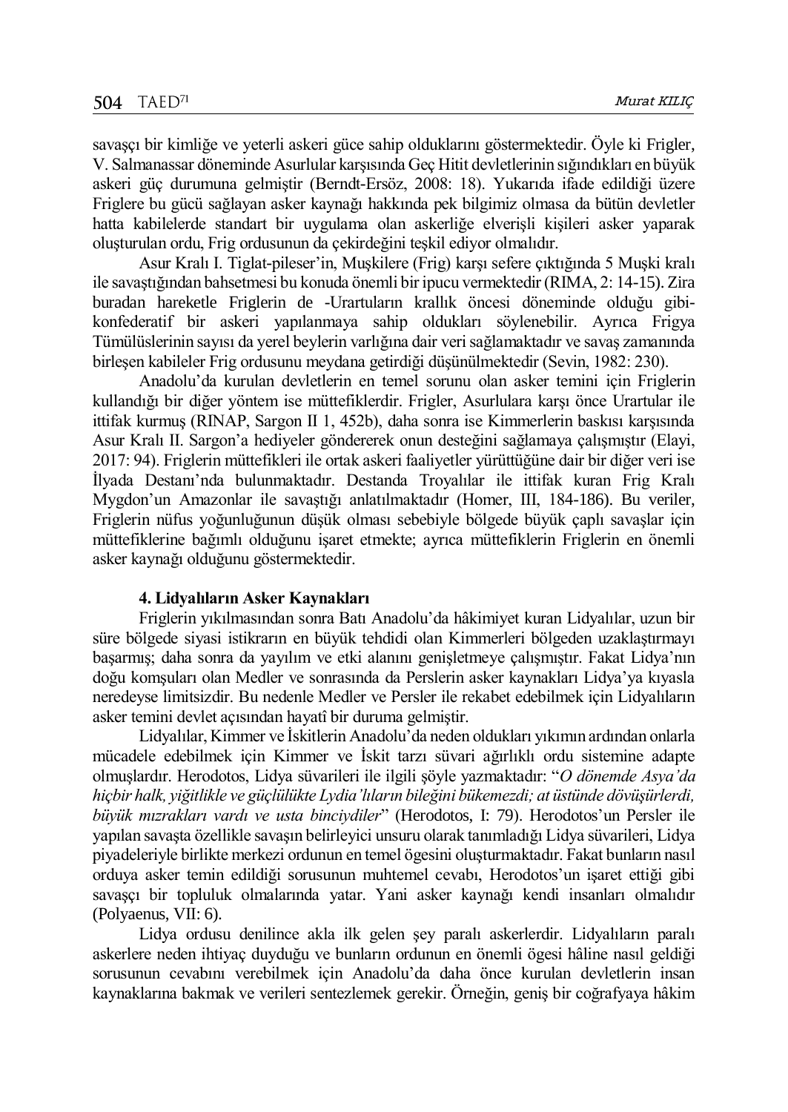savaşçı bir kimliğe ve yeterli askeri güce sahip olduklarını göstermektedir. Öyle ki Frigler, V. Salmanassar döneminde Asurlular karşısında Geç Hitit devletlerinin sığındıkları en büyük askeri güç durumuna gelmiştir (Berndt-Ersöz, 2008: 18). Yukarıda ifade edildiği üzere Friglere bu gücü sağlayan asker kaynağı hakkında pek bilgimiz olmasa da bütün devletler hatta kabilelerde standart bir uygulama olan askerliğe elverişli kişileri asker yaparak oluşturulan ordu, Frig ordusunun da çekirdeğini teşkil ediyor olmalıdır.

Asur Kralı I. Tiglat-pileser'in, Muşkilere (Frig) karşı sefere çıktığında 5 Muşki kralı ile savaştığından bahsetmesi bu konuda önemli bir ipucu vermektedir (RIMA, 2: 14-15). Zira buradan hareketle Friglerin de -Urartuların krallık öncesi döneminde olduğu gibikonfederatif bir askeri yapılanmaya sahip oldukları söylenebilir. Ayrıca Frigya Tümülüslerinin sayısı da yerel beylerin varlığına dair veri sağlamaktadır ve savaş zamanında birleşen kabileler Frig ordusunu meydana getirdiği düşünülmektedir (Sevin, 1982: 230).

Anadolu'da kurulan devletlerin en temel sorunu olan asker temini için Friglerin kullandığı bir diğer yöntem ise müttefiklerdir. Frigler, Asurlulara karşı önce Urartular ile ittifak kurmuş (RINAP, Sargon II 1, 452b), daha sonra ise Kimmerlerin baskısı karşısında Asur Kralı II. Sargon'a hediyeler göndererek onun desteğini sağlamaya çalışmıştır (Elayi, 2017: 94). Friglerin müttefikleri ile ortak askeri faaliyetler yürüttüğüne dair bir diğer veri ise İlyada Destanı'nda bulunmaktadır. Destanda Troyalılar ile ittifak kuran Frig Kralı Mygdon'un Amazonlar ile savaştığı anlatılmaktadır (Homer, III, 184-186). Bu veriler, Friglerin nüfus yoğunluğunun düşük olması sebebiyle bölgede büyük çaplı savaşlar için müttefiklerine bağımlı olduğunu işaret etmekte; ayrıca müttefiklerin Friglerin en önemli asker kaynağı olduğunu göstermektedir.

## **4. Lidyalıların Asker Kaynakları**

Friglerin yıkılmasından sonra Batı Anadolu'da hâkimiyet kuran Lidyalılar, uzun bir süre bölgede siyasi istikrarın en büyük tehdidi olan Kimmerleri bölgeden uzaklaştırmayı başarmış; daha sonra da yayılım ve etki alanını genişletmeye çalışmıştır. Fakat Lidya'nın doğu komşuları olan Medler ve sonrasında da Perslerin asker kaynakları Lidya'ya kıyasla neredeyse limitsizdir. Bu nedenle Medler ve Persler ile rekabet edebilmek için Lidyalıların asker temini devlet açısından hayatî bir duruma gelmiştir.

Lidyalılar, Kimmer ve İskitlerin Anadolu'da neden oldukları yıkımın ardından onlarla mücadele edebilmek için Kimmer ve İskit tarzı süvari ağırlıklı ordu sistemine adapte olmuşlardır. Herodotos, Lidya süvarileri ile ilgili şöyle yazmaktadır: "*O dönemde Asya'da hiçbir halk, yiğitlikle ve güçlülükte Lydia'lıların bileğini bükemezdi; at üstünde dövüşürlerdi, büyük mızrakları vardı ve usta binciydiler*" (Herodotos, I: 79). Herodotos'un Persler ile yapılan savaşta özellikle savaşın belirleyici unsuru olarak tanımladığı Lidya süvarileri, Lidya piyadeleriyle birlikte merkezi ordunun en temel ögesini oluşturmaktadır. Fakat bunların nasıl orduya asker temin edildiği sorusunun muhtemel cevabı, Herodotos'un işaret ettiği gibi savaşçı bir topluluk olmalarında yatar. Yani asker kaynağı kendi insanları olmalıdır (Polyaenus, VII: 6).

Lidya ordusu denilince akla ilk gelen şey paralı askerlerdir. Lidyalıların paralı askerlere neden ihtiyaç duyduğu ve bunların ordunun en önemli ögesi hâline nasıl geldiği sorusunun cevabını verebilmek için Anadolu'da daha önce kurulan devletlerin insan kaynaklarına bakmak ve verileri sentezlemek gerekir. Örneğin, geniş bir coğrafyaya hâkim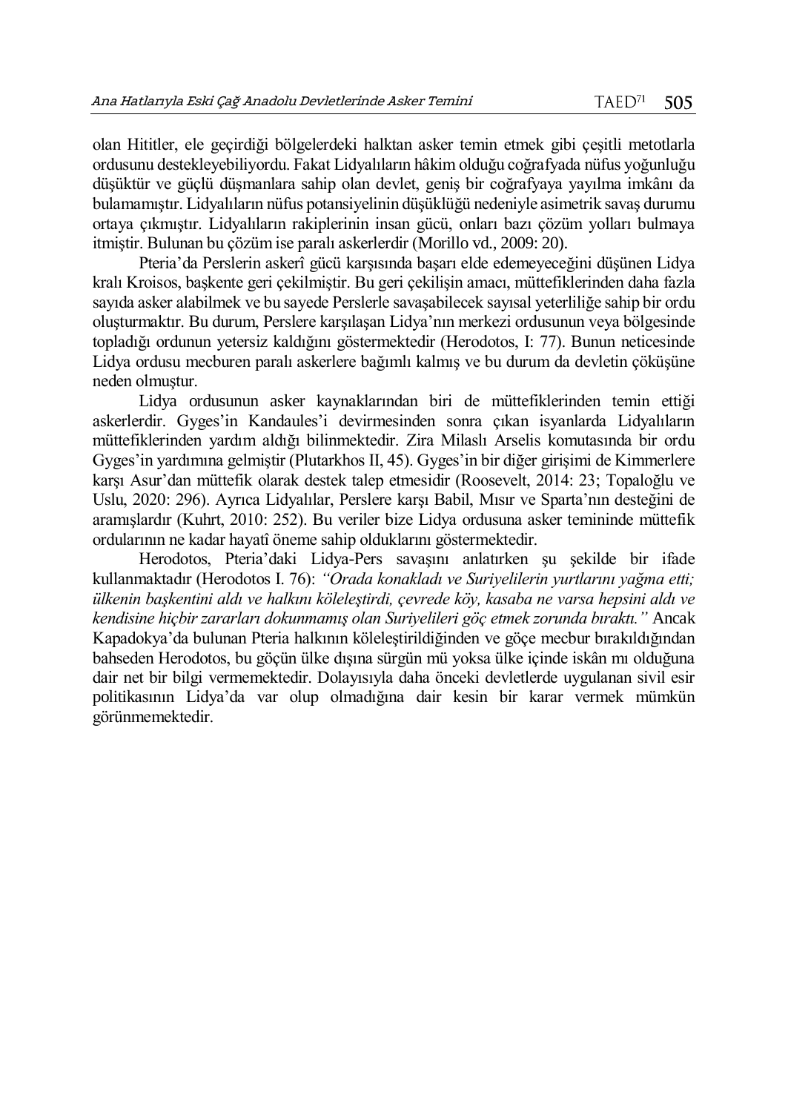olan Hititler, ele geçirdiği bölgelerdeki halktan asker temin etmek gibi çeşitli metotlarla ordusunu destekleyebiliyordu. Fakat Lidyalıların hâkim olduğu coğrafyada nüfus yoğunluğu düşüktür ve güçlü düşmanlara sahip olan devlet, geniş bir coğrafyaya yayılma imkânı da bulamamıştır. Lidyalıların nüfus potansiyelinin düşüklüğü nedeniyle asimetrik savaş durumu ortaya çıkmıştır. Lidyalıların rakiplerinin insan gücü, onları bazı çözüm yolları bulmaya itmiştir. Bulunan bu çözüm ise paralı askerlerdir (Morillo vd., 2009: 20).

Pteria'da Perslerin askerî gücü karşısında başarı elde edemeyeceğini düşünen Lidya kralı Kroisos, başkente geri çekilmiştir. Bu geri çekilişin amacı, müttefiklerinden daha fazla sayıda asker alabilmek ve bu sayede Perslerle savaşabilecek sayısal yeterliliğe sahip bir ordu oluşturmaktır. Bu durum, Perslere karşılaşan Lidya'nın merkezi ordusunun veya bölgesinde topladığı ordunun yetersiz kaldığını göstermektedir (Herodotos, I: 77). Bunun neticesinde Lidya ordusu mecburen paralı askerlere bağımlı kalmış ve bu durum da devletin çöküşüne neden olmuştur.

Lidya ordusunun asker kaynaklarından biri de müttefiklerinden temin ettiği askerlerdir. Gyges'in Kandaules'i devirmesinden sonra çıkan isyanlarda Lidyalıların müttefiklerinden yardım aldığı bilinmektedir. Zira Milaslı Arselis komutasında bir ordu Gyges'in yardımına gelmiştir (Plutarkhos II, 45). Gyges'in bir diğer girişimi de Kimmerlere karşı Asur'dan müttefik olarak destek talep etmesidir (Roosevelt, 2014: 23; Topaloğlu ve Uslu, 2020: 296). Ayrıca Lidyalılar, Perslere karşı Babil, Mısır ve Sparta'nın desteğini de aramışlardır (Kuhrt, 2010: 252). Bu veriler bize Lidya ordusuna asker temininde müttefik ordularının ne kadar hayatî öneme sahip olduklarını göstermektedir.

Herodotos, Pteria'daki Lidya-Pers savaşını anlatırken şu şekilde bir ifade kullanmaktadır (Herodotos I. 76): *"Orada konakladı ve Suriyelilerin yurtlarını yağma etti; ülkenin başkentini aldı ve halkını köleleştirdi, çevrede köy, kasaba ne varsa hepsini aldı ve kendisine hiçbir zararları dokunmamış olan Suriyelileri göç etmek zorunda bıraktı."* Ancak Kapadokya'da bulunan Pteria halkının köleleştirildiğinden ve göçe mecbur bırakıldığından bahseden Herodotos, bu göçün ülke dışına sürgün mü yoksa ülke içinde iskân mı olduğuna dair net bir bilgi vermemektedir. Dolayısıyla daha önceki devletlerde uygulanan sivil esir politikasının Lidya'da var olup olmadığına dair kesin bir karar vermek mümkün görünmemektedir.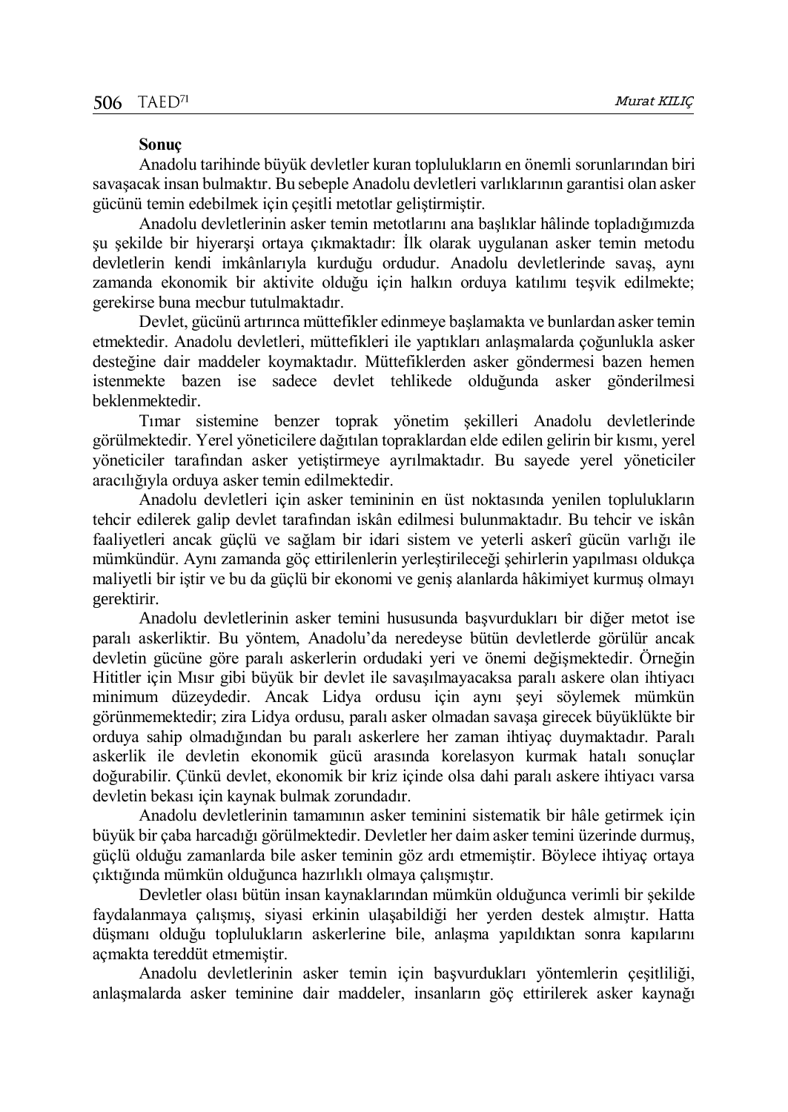### **Sonuç**

Anadolu tarihinde büyük devletler kuran toplulukların en önemli sorunlarından biri savaşacak insan bulmaktır. Bu sebeple Anadolu devletleri varlıklarının garantisi olan asker gücünü temin edebilmek için çeşitli metotlar geliştirmiştir.

Anadolu devletlerinin asker temin metotlarını ana başlıklar hâlinde topladığımızda şu şekilde bir hiyerarşi ortaya çıkmaktadır: İlk olarak uygulanan asker temin metodu devletlerin kendi imkânlarıyla kurduğu ordudur. Anadolu devletlerinde savaş, aynı zamanda ekonomik bir aktivite olduğu için halkın orduya katılımı teşvik edilmekte; gerekirse buna mecbur tutulmaktadır.

Devlet, gücünü artırınca müttefikler edinmeye başlamakta ve bunlardan asker temin etmektedir. Anadolu devletleri, müttefikleri ile yaptıkları anlaşmalarda çoğunlukla asker desteğine dair maddeler koymaktadır. Müttefiklerden asker göndermesi bazen hemen istenmekte bazen ise sadece devlet tehlikede olduğunda asker gönderilmesi beklenmektedir.

Tımar sistemine benzer toprak yönetim şekilleri Anadolu devletlerinde görülmektedir. Yerel yöneticilere dağıtılan topraklardan elde edilen gelirin bir kısmı, yerel yöneticiler tarafından asker yetiştirmeye ayrılmaktadır. Bu sayede yerel yöneticiler aracılığıyla orduya asker temin edilmektedir.

Anadolu devletleri için asker temininin en üst noktasında yenilen toplulukların tehcir edilerek galip devlet tarafından iskân edilmesi bulunmaktadır. Bu tehcir ve iskân faaliyetleri ancak güçlü ve sağlam bir idari sistem ve yeterli askerî gücün varlığı ile mümkündür. Aynı zamanda göç ettirilenlerin yerleştirileceği şehirlerin yapılması oldukça maliyetli bir iştir ve bu da güçlü bir ekonomi ve geniş alanlarda hâkimiyet kurmuş olmayı gerektirir.

Anadolu devletlerinin asker temini hususunda başvurdukları bir diğer metot ise paralı askerliktir. Bu yöntem, Anadolu'da neredeyse bütün devletlerde görülür ancak devletin gücüne göre paralı askerlerin ordudaki yeri ve önemi değişmektedir. Örneğin Hititler için Mısır gibi büyük bir devlet ile savaşılmayacaksa paralı askere olan ihtiyacı minimum düzeydedir. Ancak Lidya ordusu için aynı şeyi söylemek mümkün görünmemektedir; zira Lidya ordusu, paralı asker olmadan savaşa girecek büyüklükte bir orduya sahip olmadığından bu paralı askerlere her zaman ihtiyaç duymaktadır. Paralı askerlik ile devletin ekonomik gücü arasında korelasyon kurmak hatalı sonuçlar doğurabilir. Çünkü devlet, ekonomik bir kriz içinde olsa dahi paralı askere ihtiyacı varsa devletin bekası için kaynak bulmak zorundadır.

Anadolu devletlerinin tamamının asker teminini sistematik bir hâle getirmek için büyük bir çaba harcadığı görülmektedir. Devletler her daim asker temini üzerinde durmuş, güçlü olduğu zamanlarda bile asker teminin göz ardı etmemiştir. Böylece ihtiyaç ortaya çıktığında mümkün olduğunca hazırlıklı olmaya çalışmıştır.

Devletler olası bütün insan kaynaklarından mümkün olduğunca verimli bir şekilde faydalanmaya çalışmış, siyasi erkinin ulaşabildiği her yerden destek almıştır. Hatta düşmanı olduğu toplulukların askerlerine bile, anlaşma yapıldıktan sonra kapılarını açmakta tereddüt etmemiştir.

Anadolu devletlerinin asker temin için başvurdukları yöntemlerin çeşitliliği, anlaşmalarda asker teminine dair maddeler, insanların göç ettirilerek asker kaynağı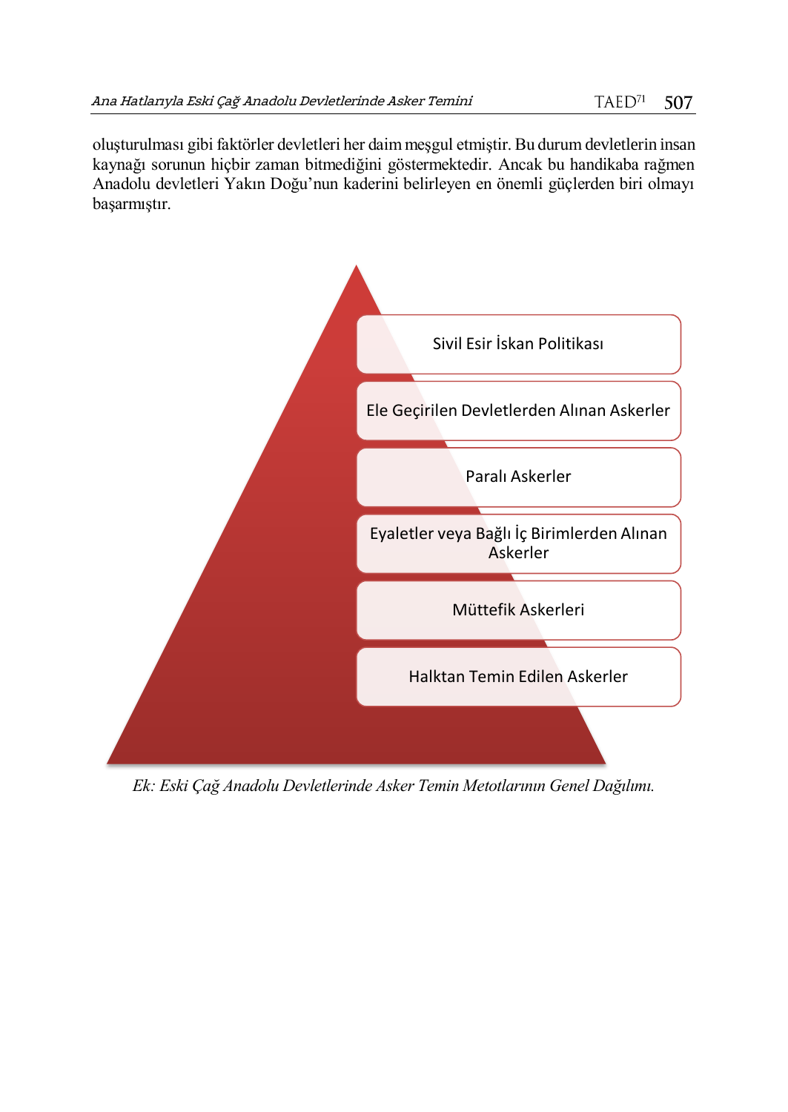oluşturulması gibi faktörler devletleri her daim meşgul etmiştir. Bu durum devletlerin insan kaynağı sorunun hiçbir zaman bitmediğini göstermektedir. Ancak bu handikaba rağmen Anadolu devletleri Yakın Doğu'nun kaderini belirleyen en önemli güçlerden biri olmayı başarmıştır.



*Ek: Eski Çağ Anadolu Devletlerinde Asker Temin Metotlarının Genel Dağılımı.*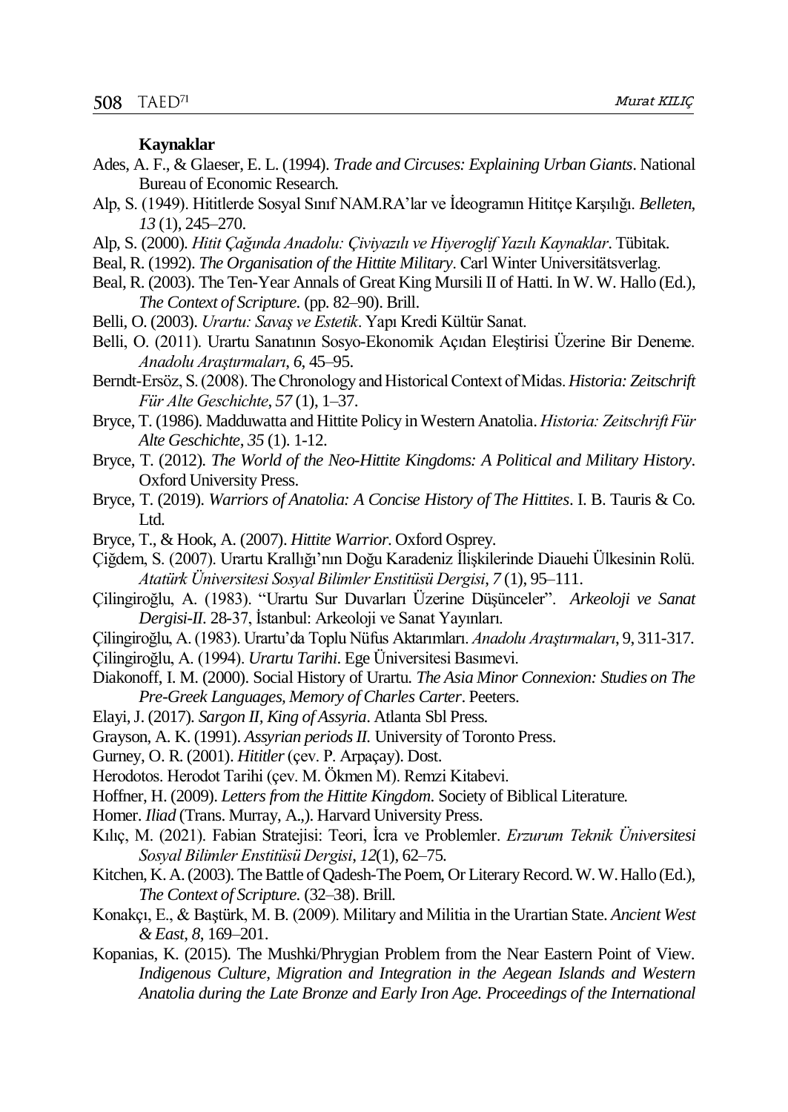#### **Kaynaklar**

- Ades, A. F., & Glaeser, E. L. (1994). *Trade and Circuses: Explaining Urban Giants*. National Bureau of Economic Research.
- Alp, S. (1949). Hititlerde Sosyal Sınıf NAM.RA'lar ve İdeogramın Hititçe Karşılığı. *Belleten*, *13* (1), 245–270.
- Alp, S. (2000). *Hitit Çağında Anadolu: Çiviyazılı ve Hiyeroglif Yazılı Kaynaklar*. Tübı̇tak.
- Beal, R. (1992). *The Organisation of the Hittite Military*. Carl Winter Universitätsverlag.
- Beal, R. (2003). The Ten-Year Annals of Great King Mursili II of Hatti. In W. W. Hallo (Ed.), *The Context of Scripture.* (pp. 82–90). Brill.
- Belli, O. (2003). *Urartu: Savaş ve Estetik*. Yapı Kredi Kültür Sanat.
- Belli, O. (2011). Urartu Sanatının Sosyo-Ekonomik Açıdan Eleştirisi Üzerine Bir Deneme. *Anadolu Araştırmaları*, *6*, 45–95.
- Berndt-Ersöz, S. (2008). The Chronology and Historical Context of Midas. *Historia: Zeitschrift Für Alte Geschichte*, *57* (1), 1–37.
- Bryce, T. (1986). Madduwatta and Hittite Policy in Western Anatolia. *Historia: Zeitschrift Für Alte Geschichte*, *35* (1). 1-12.
- Bryce, T. (2012). *The World of the Neo-Hittite Kingdoms: A Political and Military History*. Oxford University Press.
- Bryce, T. (2019). *Warriors of Anatolia: A Concise History of The Hittites*. I. B. Tauris & Co. Ltd.
- Bryce, T., & Hook, A. (2007). *Hittite Warrior*. Oxford Osprey.
- Çiğdem, S. (2007). Urartu Krallığı'nın Doğu Karadeniz İlişkilerinde Diauehi Ülkesinin Rolü. *Atatürk Üniversitesi Sosyal Bilimler Enstitüsü Dergisi*, *7* (1), 95–111.
- Çilingiroğlu, A. (1983). "Urartu Sur Duvarları Üzerine Düşünceler". *Arkeoloji ve Sanat Dergisi-II.* 28-37, İstanbul: Arkeoloji ve Sanat Yayınları.
- Çilingiroğlu, A. (1983). Urartu'da Toplu Nüfus Aktarımları. *Anadolu Araştırmaları*, 9, 311-317.
- Çilingiroğlu, A. (1994). *Urartu Tarihi*. Ege Üniversitesi Basımevi.
- Diakonoff, I. M. (2000). Social History of Urartu. *The Asia Minor Connexion: Studies on The Pre-Greek Languages, Memory of Charles Carter*. Peeters.
- Elayi, J. (2017). *Sargon II, King of Assyria*. Atlanta Sbl Press.
- Grayson, A. K. (1991). *Assyrian periods II.* University of Toronto Press.
- Gurney, O. R. (2001). *Hititler*(çev. P. Arpaçay). Dost.
- Herodotos. Herodot Tarihi (çev. M. Ökmen M). Remzi Kitabevi.
- Hoffner, H. (2009). *Letters from the Hittite Kingdom*. Society of Biblical Literature.
- Homer. *Iliad* (Trans. Murray, A.,). Harvard University Press.
- Kılıç, M. (2021). Fabian Stratejisi: Teori, İcra ve Problemler. *Erzurum Teknik Üniversitesi Sosyal Bilimler Enstitüsü Dergisi*, *12*(1), 62–75.
- Kitchen, K. A. (2003). The Battle of Qadesh-The Poem, Or Literary Record. W. W. Hallo (Ed.), *The Context of Scripture.* (32–38). Brill.
- Konakçı, E., & Baştürk, M. B. (2009). Military and Militia in the Urartian State. *Ancient West & East*, *8*, 169–201.
- Kopanias, K. (2015). The Mushki/Phrygian Problem from the Near Eastern Point of View. *Indigenous Culture, Migration and Integration in the Aegean Islands and Western Anatolia during the Late Bronze and Early Iron Age. Proceedings of the International*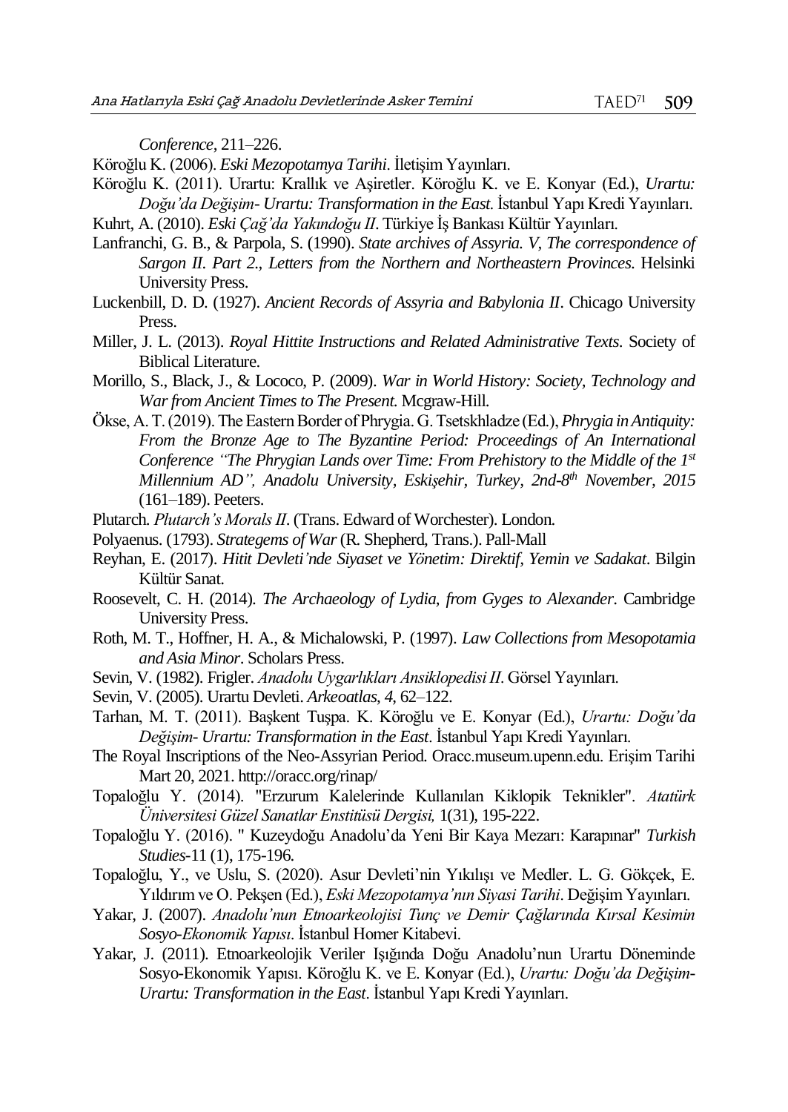*Conference*, 211–226.

Köroğlu K. (2006). *Eski Mezopotamya Tarihi*. İletişim Yayınları.

Köroğlu K. (2011). Urartu: Krallık ve Aşiretler. Köroğlu K. ve E. Konyar (Ed.), *Urartu: Doğu'da Değişim- Urartu: Transformation in the East*. İstanbul Yapı Kredi Yayınları. Kuhrt, A. (2010). *Eski Çağ'da Yakındoğu II*. Türkiye İş Bankası Kültür Yayınları.

Lanfranchi, G. B., & Parpola, S. (1990). *State archives of Assyria. V, The correspondence of Sargon II. Part 2., Letters from the Northern and Northeastern Provinces*. Helsinki University Press.

- Luckenbill, D. D. (1927). *Ancient Records of Assyria and Babylonia II*. Chicago University Press.
- Miller, J. L. (2013). *Royal Hittite Instructions and Related Administrative Texts*. Society of Biblical Literature.
- Morillo, S., Black, J., & Lococo, P. (2009). *War in World History: Society, Technology and War from Ancient Times to The Present*. Mcgraw-Hill.
- Ökse, A. T. (2019). The Eastern Border of Phrygia. G. Tsetskhladze (Ed.), *Phrygia in Antiquity: From the Bronze Age to The Byzantine Period: Proceedings of An International Conference "The Phrygian Lands over Time: From Prehistory to the Middle of the 1st Millennium AD", Anadolu University, Eskişehir, Turkey, 2nd-8 th November, 2015* (161–189). Peeters.
- Plutarch. *Plutarch's Morals II*. (Trans. Edward of Worchester). London.
- Polyaenus. (1793). *Strategems of War*(R. Shepherd, Trans.). Pall-Mall
- Reyhan, E. (2017). *Hitit Devleti'nde Siyaset ve Yönetim: Direktif, Yemin ve Sadakat*. Bilgin Kültür Sanat.
- Roosevelt, C. H. (2014). *The Archaeology of Lydia, from Gyges to Alexander*. Cambridge University Press.
- Roth, M. T., Hoffner, H. A., & Michalowski, P. (1997). *Law Collections from Mesopotamia and Asia Minor*. Scholars Press.
- Sevin, V. (1982). Frigler. *Anadolu Uygarlıkları Ansiklopedisi II*. Görsel Yayınları.
- Sevin, V. (2005). Urartu Devleti. *Arkeoatlas*, *4*, 62–122.
- Tarhan, M. T. (2011). Başkent Tuşpa. K. Köroğlu ve E. Konyar (Ed.), *Urartu: Doğu'da Değişim- Urartu: Transformation in the East*. İstanbul Yapı Kredi Yayınları.
- The Royal Inscriptions of the Neo-Assyrian Period. Oracc.museum.upenn.edu. Erişim Tarihi Mart 20, 2021. http://oracc.org/rinap/
- Topaloğlu Y. (2014). "Erzurum Kalelerinde Kullanılan Kiklopik Teknikler". *Atatürk Üniversitesi Güzel Sanatlar Enstitüsü Dergisi,* 1(31), 195-222.
- Topaloğlu Y. (2016). " Kuzeydoğu Anadolu'da Yeni Bir Kaya Mezarı: Karapınar" *Turkish Studies-*11 (1), 175-196.
- Topaloğlu, Y., ve Uslu, S. (2020). Asur Devleti'nin Yıkılışı ve Medler. L. G. Gökçek, E. Yıldırım ve O. Pekşen (Ed.), *Eski Mezopotamya'nın Siyasi Tarihi*. Değişim Yayınları.
- Yakar, J. (2007). *Anadolu'nun Etnoarkeolojisi Tunç ve Demir Çağlarında Kırsal Kesimin Sosyo-Ekonomik Yapısı*. İstanbul Homer Kitabevi.
- Yakar, J. (2011). Etnoarkeolojik Veriler Işığında Doğu Anadolu'nun Urartu Döneminde Sosyo-Ekonomik Yapısı. Köroğlu K. ve E. Konyar (Ed.), *Urartu: Doğu'da Değişim-Urartu: Transformation in the East*. İstanbul Yapı Kredi Yayınları.